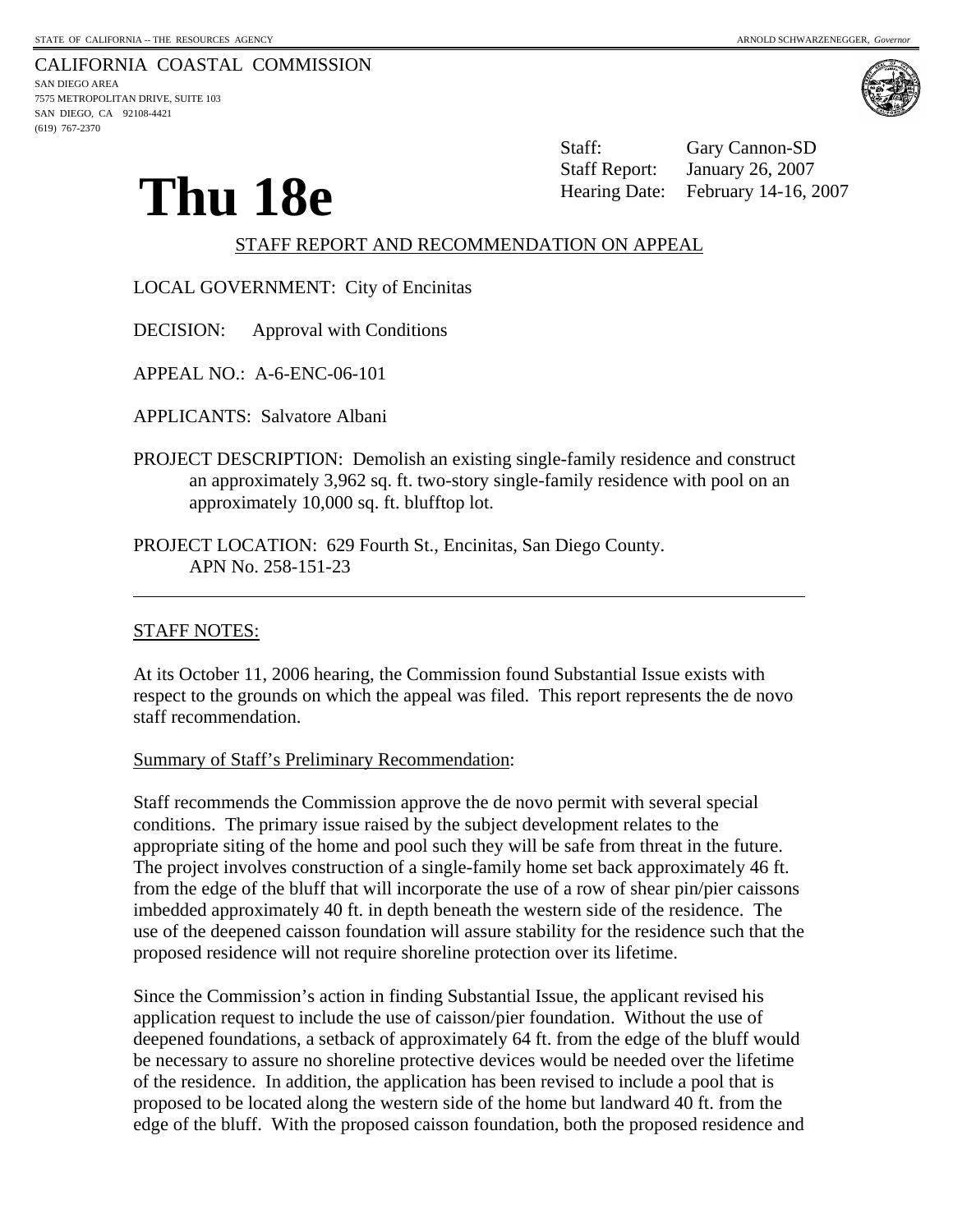CALIFORNIA COASTAL COMMISSION SAN DIEGO AREA 7575 METROPOLITAN DRIVE, SUITE 103 SAN DIEGO, CA 92108-4421 (619) 767-2370



**Thu 18e** Staff Report: January 26, 2007<br>Hearing Date: February 14-16, 2007 Staff: Gary Cannon-SD January 26, 2007

# STAFF REPORT AND RECOMMENDATION ON APPEAL

LOCAL GOVERNMENT: City of Encinitas

DECISION: Approval with Conditions

APPEAL NO.: A-6-ENC-06-101

APPLICANTS: Salvatore Albani

- PROJECT DESCRIPTION: Demolish an existing single-family residence and construct an approximately 3,962 sq. ft. two-story single-family residence with pool on an approximately 10,000 sq. ft. blufftop lot.
- PROJECT LOCATION: 629 Fourth St., Encinitas, San Diego County. APN No. 258-151-23

### STAFF NOTES:

 $\overline{a}$ 

At its October 11, 2006 hearing, the Commission found Substantial Issue exists with respect to the grounds on which the appeal was filed. This report represents the de novo staff recommendation.

Summary of Staff's Preliminary Recommendation:

Staff recommends the Commission approve the de novo permit with several special conditions. The primary issue raised by the subject development relates to the appropriate siting of the home and pool such they will be safe from threat in the future. The project involves construction of a single-family home set back approximately 46 ft. from the edge of the bluff that will incorporate the use of a row of shear pin/pier caissons imbedded approximately 40 ft. in depth beneath the western side of the residence. The use of the deepened caisson foundation will assure stability for the residence such that the proposed residence will not require shoreline protection over its lifetime.

Since the Commission's action in finding Substantial Issue, the applicant revised his application request to include the use of caisson/pier foundation. Without the use of deepened foundations, a setback of approximately 64 ft. from the edge of the bluff would be necessary to assure no shoreline protective devices would be needed over the lifetime of the residence. In addition, the application has been revised to include a pool that is proposed to be located along the western side of the home but landward 40 ft. from the edge of the bluff. With the proposed caisson foundation, both the proposed residence and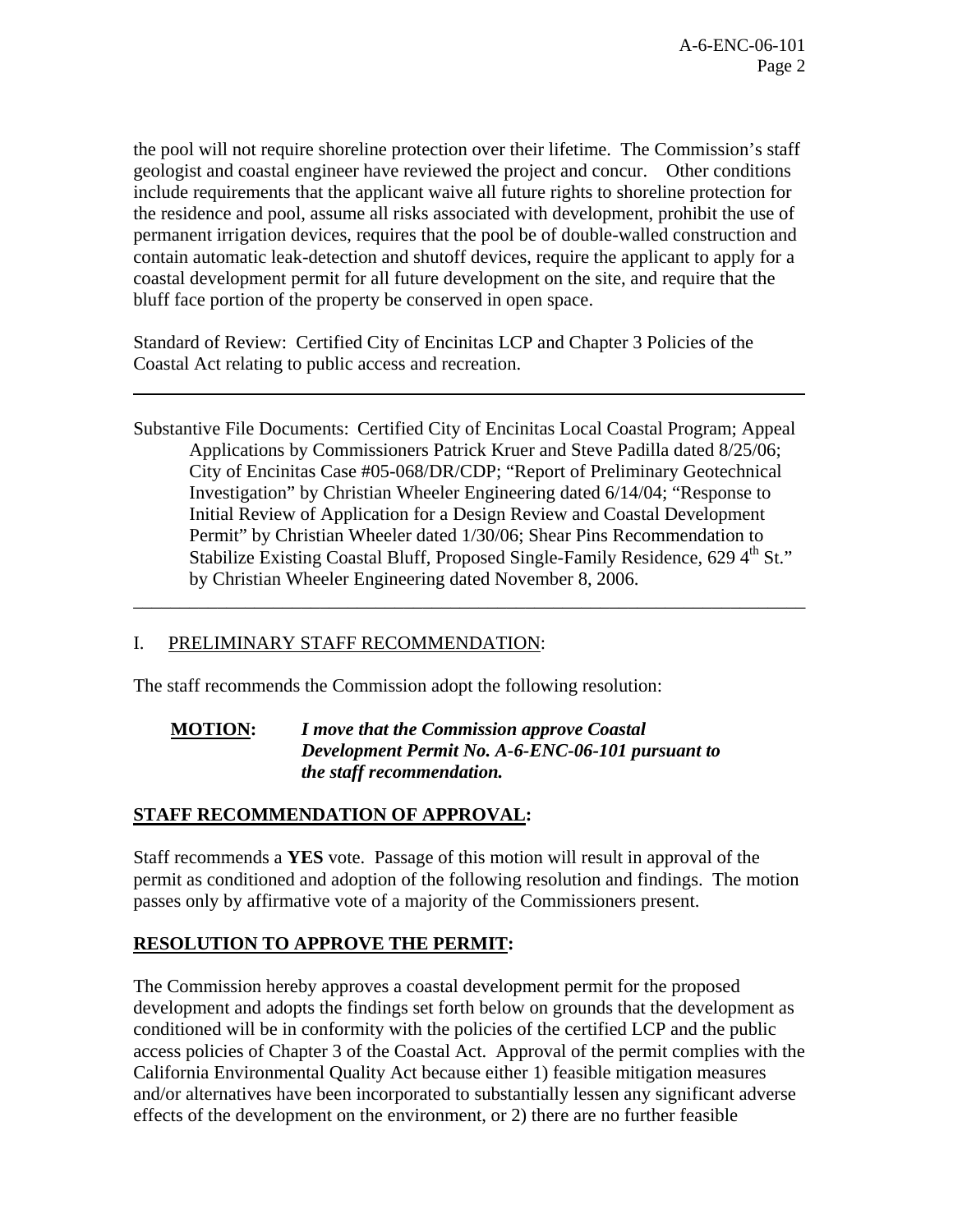the pool will not require shoreline protection over their lifetime. The Commission's staff geologist and coastal engineer have reviewed the project and concur. Other conditions include requirements that the applicant waive all future rights to shoreline protection for the residence and pool, assume all risks associated with development, prohibit the use of permanent irrigation devices, requires that the pool be of double-walled construction and contain automatic leak-detection and shutoff devices, require the applicant to apply for a coastal development permit for all future development on the site, and require that the bluff face portion of the property be conserved in open space.

Standard of Review: Certified City of Encinitas LCP and Chapter 3 Policies of the Coastal Act relating to public access and recreation.

Substantive File Documents: Certified City of Encinitas Local Coastal Program; Appeal Applications by Commissioners Patrick Kruer and Steve Padilla dated 8/25/06; City of Encinitas Case #05-068/DR/CDP; "Report of Preliminary Geotechnical Investigation" by Christian Wheeler Engineering dated 6/14/04; "Response to Initial Review of Application for a Design Review and Coastal Development Permit" by Christian Wheeler dated 1/30/06; Shear Pins Recommendation to Stabilize Existing Coastal Bluff, Proposed Single-Family Residence, 629 4<sup>th</sup> St." by Christian Wheeler Engineering dated November 8, 2006.

\_\_\_\_\_\_\_\_\_\_\_\_\_\_\_\_\_\_\_\_\_\_\_\_\_\_\_\_\_\_\_\_\_\_\_\_\_\_\_\_\_\_\_\_\_\_\_\_\_\_\_\_\_\_\_\_\_\_\_\_\_\_\_\_\_\_\_\_\_\_\_\_

# I. PRELIMINARY STAFF RECOMMENDATION:

l

The staff recommends the Commission adopt the following resolution:

### **MOTION:** *I move that the Commission approve Coastal Development Permit No. A-6-ENC-06-101 pursuant to the staff recommendation.*

# **STAFF RECOMMENDATION OF APPROVAL:**

Staff recommends a **YES** vote. Passage of this motion will result in approval of the permit as conditioned and adoption of the following resolution and findings. The motion passes only by affirmative vote of a majority of the Commissioners present.

#### **RESOLUTION TO APPROVE THE PERMIT:**

The Commission hereby approves a coastal development permit for the proposed development and adopts the findings set forth below on grounds that the development as conditioned will be in conformity with the policies of the certified LCP and the public access policies of Chapter 3 of the Coastal Act. Approval of the permit complies with the California Environmental Quality Act because either 1) feasible mitigation measures and/or alternatives have been incorporated to substantially lessen any significant adverse effects of the development on the environment, or 2) there are no further feasible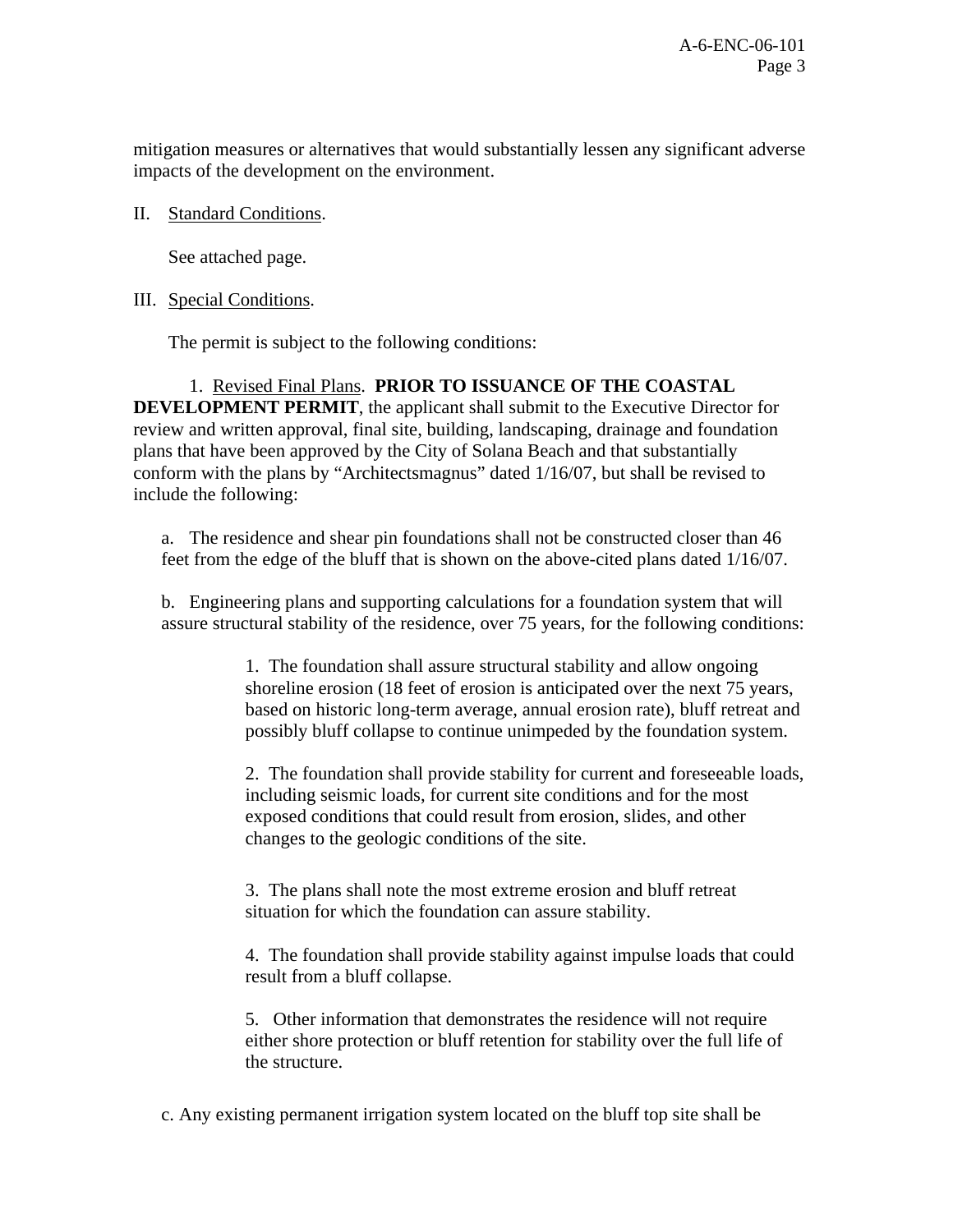mitigation measures or alternatives that would substantially lessen any significant adverse impacts of the development on the environment.

## II. Standard Conditions.

See attached page.

## III. Special Conditions.

The permit is subject to the following conditions:

 1. Revised Final Plans. **PRIOR TO ISSUANCE OF THE COASTAL DEVELOPMENT PERMIT**, the applicant shall submit to the Executive Director for review and written approval, final site, building, landscaping, drainage and foundation plans that have been approved by the City of Solana Beach and that substantially conform with the plans by "Architectsmagnus" dated 1/16/07, but shall be revised to include the following:

a. The residence and shear pin foundations shall not be constructed closer than 46 feet from the edge of the bluff that is shown on the above-cited plans dated 1/16/07.

b. Engineering plans and supporting calculations for a foundation system that will assure structural stability of the residence, over 75 years, for the following conditions:

> 1. The foundation shall assure structural stability and allow ongoing shoreline erosion (18 feet of erosion is anticipated over the next 75 years, based on historic long-term average, annual erosion rate), bluff retreat and possibly bluff collapse to continue unimpeded by the foundation system.

> 2. The foundation shall provide stability for current and foreseeable loads, including seismic loads, for current site conditions and for the most exposed conditions that could result from erosion, slides, and other changes to the geologic conditions of the site.

3. The plans shall note the most extreme erosion and bluff retreat situation for which the foundation can assure stability.

4. The foundation shall provide stability against impulse loads that could result from a bluff collapse.

5. Other information that demonstrates the residence will not require either shore protection or bluff retention for stability over the full life of the structure.

c. Any existing permanent irrigation system located on the bluff top site shall be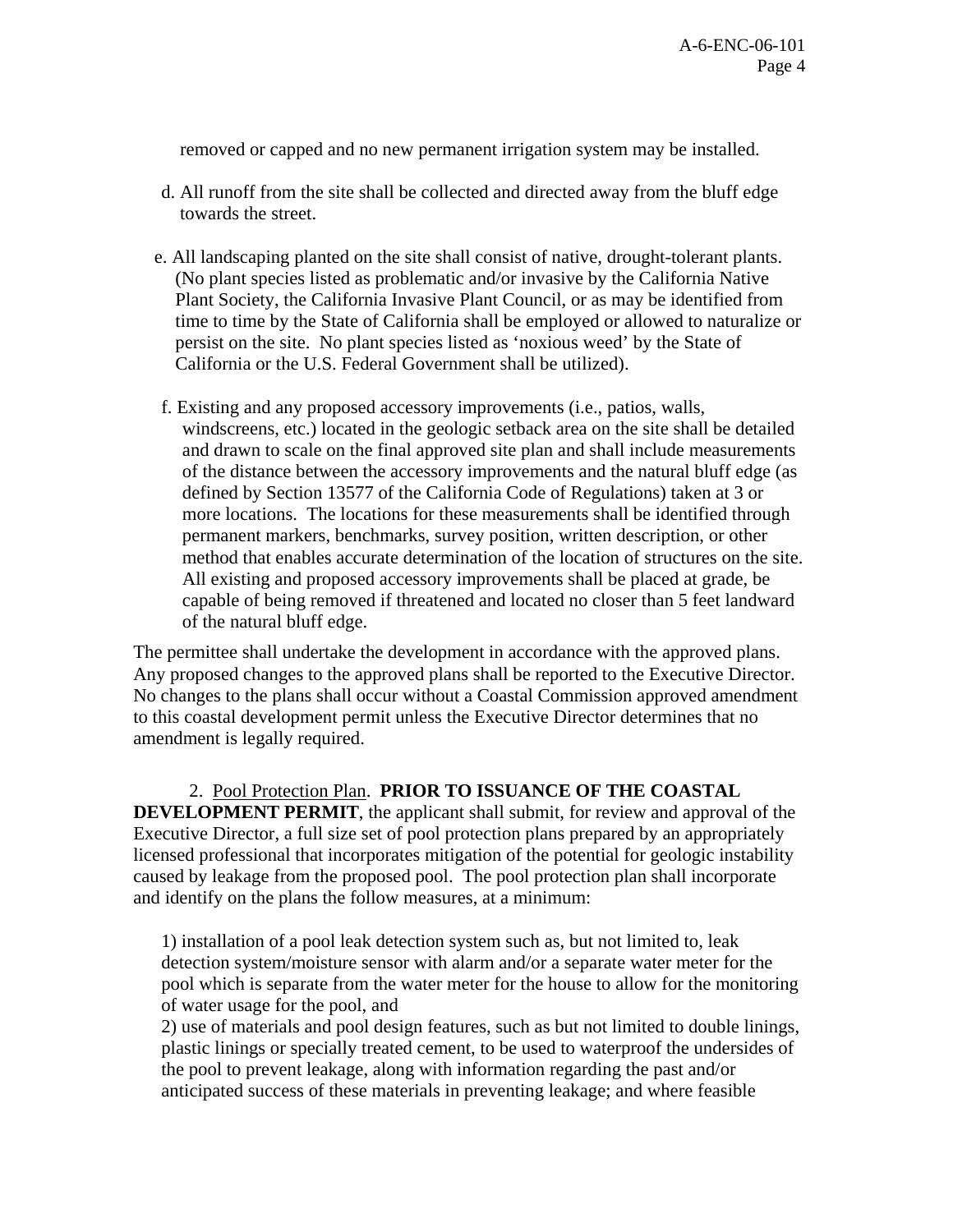removed or capped and no new permanent irrigation system may be installed.

- d. All runoff from the site shall be collected and directed away from the bluff edge towards the street.
- e. All landscaping planted on the site shall consist of native, drought-tolerant plants. (No plant species listed as problematic and/or invasive by the California Native Plant Society, the California Invasive Plant Council, or as may be identified from time to time by the State of California shall be employed or allowed to naturalize or persist on the site. No plant species listed as 'noxious weed' by the State of California or the U.S. Federal Government shall be utilized).
- f. Existing and any proposed accessory improvements (i.e., patios, walls, windscreens, etc.) located in the geologic setback area on the site shall be detailed and drawn to scale on the final approved site plan and shall include measurements of the distance between the accessory improvements and the natural bluff edge (as defined by Section 13577 of the California Code of Regulations) taken at 3 or more locations. The locations for these measurements shall be identified through permanent markers, benchmarks, survey position, written description, or other method that enables accurate determination of the location of structures on the site. All existing and proposed accessory improvements shall be placed at grade, be capable of being removed if threatened and located no closer than 5 feet landward of the natural bluff edge.

The permittee shall undertake the development in accordance with the approved plans. Any proposed changes to the approved plans shall be reported to the Executive Director. No changes to the plans shall occur without a Coastal Commission approved amendment to this coastal development permit unless the Executive Director determines that no amendment is legally required.

 2. Pool Protection Plan. **PRIOR TO ISSUANCE OF THE COASTAL DEVELOPMENT PERMIT**, the applicant shall submit, for review and approval of the Executive Director, a full size set of pool protection plans prepared by an appropriately licensed professional that incorporates mitigation of the potential for geologic instability caused by leakage from the proposed pool. The pool protection plan shall incorporate and identify on the plans the follow measures, at a minimum:

1) installation of a pool leak detection system such as, but not limited to, leak detection system/moisture sensor with alarm and/or a separate water meter for the pool which is separate from the water meter for the house to allow for the monitoring of water usage for the pool, and

2) use of materials and pool design features, such as but not limited to double linings, plastic linings or specially treated cement, to be used to waterproof the undersides of the pool to prevent leakage, along with information regarding the past and/or anticipated success of these materials in preventing leakage; and where feasible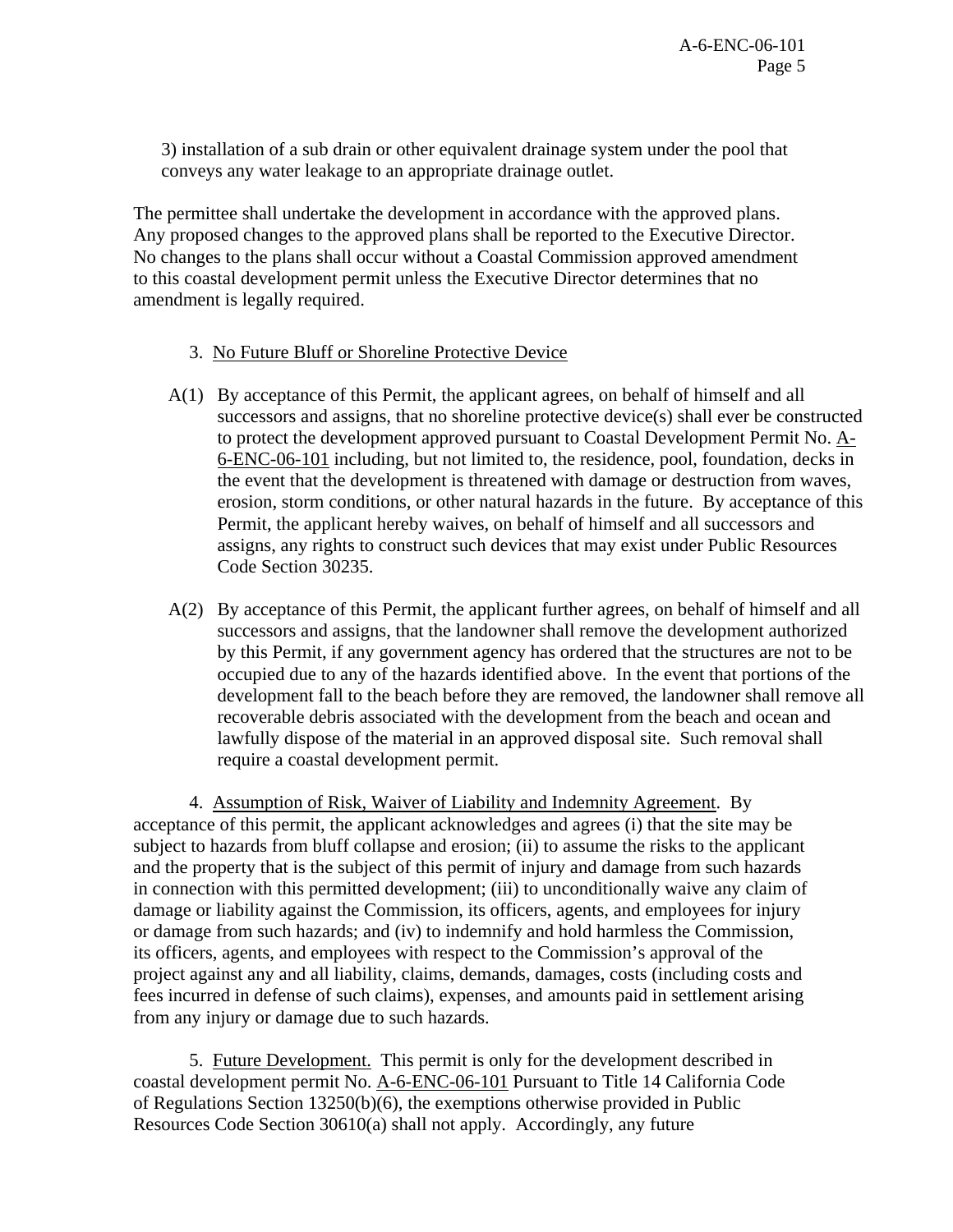3) installation of a sub drain or other equivalent drainage system under the pool that conveys any water leakage to an appropriate drainage outlet.

The permittee shall undertake the development in accordance with the approved plans. Any proposed changes to the approved plans shall be reported to the Executive Director. No changes to the plans shall occur without a Coastal Commission approved amendment to this coastal development permit unless the Executive Director determines that no amendment is legally required.

### 3. No Future Bluff or Shoreline Protective Device

- A(1) By acceptance of this Permit, the applicant agrees, on behalf of himself and all successors and assigns, that no shoreline protective device(s) shall ever be constructed to protect the development approved pursuant to Coastal Development Permit No. A-6-ENC-06-101 including, but not limited to, the residence, pool, foundation, decks in the event that the development is threatened with damage or destruction from waves, erosion, storm conditions, or other natural hazards in the future. By acceptance of this Permit, the applicant hereby waives, on behalf of himself and all successors and assigns, any rights to construct such devices that may exist under Public Resources Code Section 30235.
- A(2) By acceptance of this Permit, the applicant further agrees, on behalf of himself and all successors and assigns, that the landowner shall remove the development authorized by this Permit, if any government agency has ordered that the structures are not to be occupied due to any of the hazards identified above. In the event that portions of the development fall to the beach before they are removed, the landowner shall remove all recoverable debris associated with the development from the beach and ocean and lawfully dispose of the material in an approved disposal site. Such removal shall require a coastal development permit.

4.Assumption of Risk, Waiver of Liability and Indemnity Agreement. By acceptance of this permit, the applicant acknowledges and agrees (i) that the site may be subject to hazards from bluff collapse and erosion; (ii) to assume the risks to the applicant and the property that is the subject of this permit of injury and damage from such hazards in connection with this permitted development; (iii) to unconditionally waive any claim of damage or liability against the Commission, its officers, agents, and employees for injury or damage from such hazards; and (iv) to indemnify and hold harmless the Commission, its officers, agents, and employees with respect to the Commission's approval of the project against any and all liability, claims, demands, damages, costs (including costs and fees incurred in defense of such claims), expenses, and amounts paid in settlement arising from any injury or damage due to such hazards.

 5. Future Development. This permit is only for the development described in coastal development permit No. A-6-ENC-06-101 Pursuant to Title 14 California Code of Regulations Section 13250(b)(6), the exemptions otherwise provided in Public Resources Code Section 30610(a) shall not apply. Accordingly, any future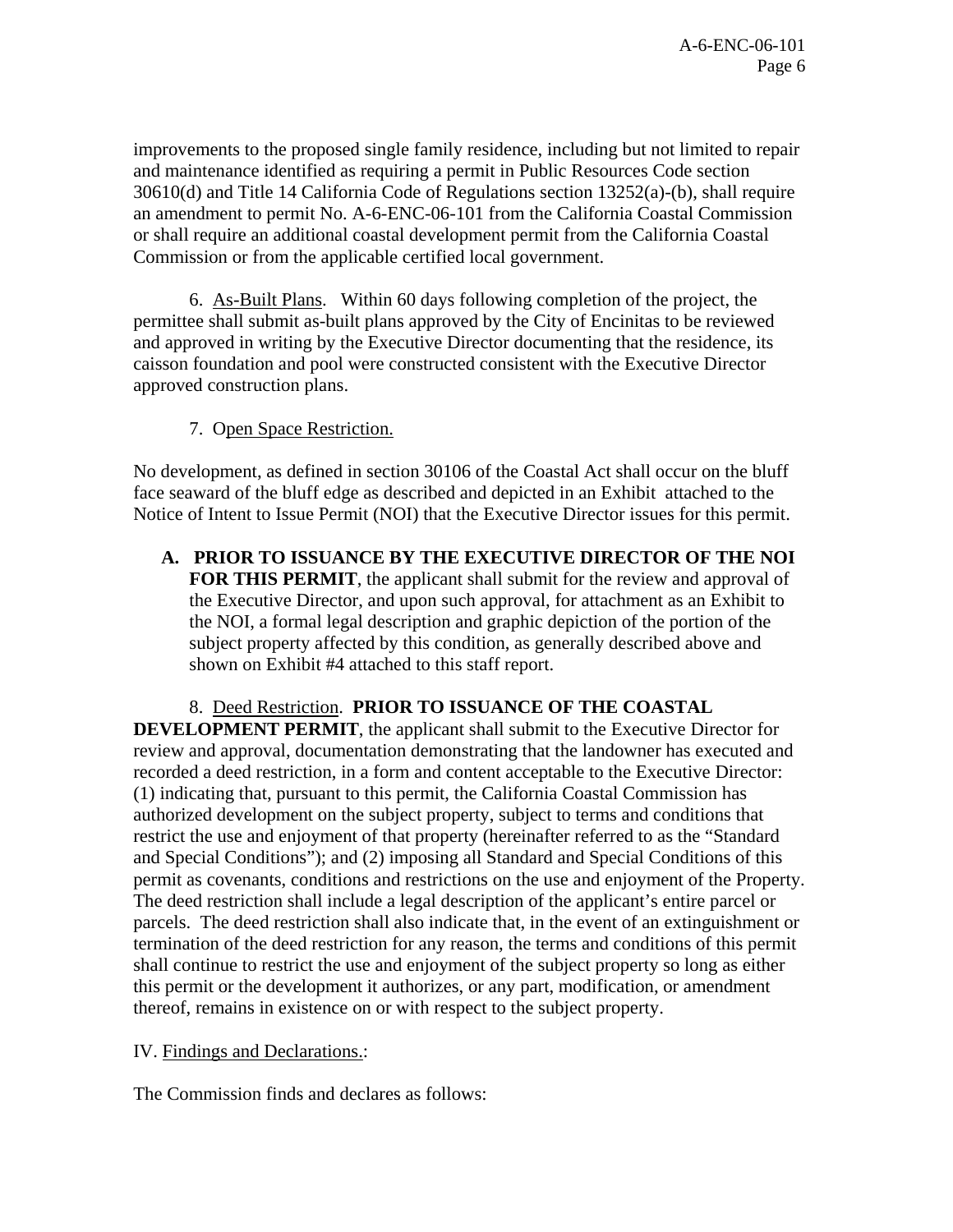improvements to the proposed single family residence, including but not limited to repair and maintenance identified as requiring a permit in Public Resources Code section 30610(d) and Title 14 California Code of Regulations section 13252(a)-(b), shall require an amendment to permit No. A-6-ENC-06-101 from the California Coastal Commission or shall require an additional coastal development permit from the California Coastal Commission or from the applicable certified local government.

6. As-Built Plans. Within 60 days following completion of the project, the permittee shall submit as-built plans approved by the City of Encinitas to be reviewed and approved in writing by the Executive Director documenting that the residence, its caisson foundation and pool were constructed consistent with the Executive Director approved construction plans.

7. Open Space Restriction.

No development, as defined in section 30106 of the Coastal Act shall occur on the bluff face seaward of the bluff edge as described and depicted in an Exhibit attached to the Notice of Intent to Issue Permit (NOI) that the Executive Director issues for this permit.

**A. PRIOR TO ISSUANCE BY THE EXECUTIVE DIRECTOR OF THE NOI FOR THIS PERMIT**, the applicant shall submit for the review and approval of the Executive Director, and upon such approval, for attachment as an Exhibit to the NOI, a formal legal description and graphic depiction of the portion of the subject property affected by this condition, as generally described above and shown on Exhibit #4 attached to this staff report.

8. Deed Restriction. **PRIOR TO ISSUANCE OF THE COASTAL DEVELOPMENT PERMIT**, the applicant shall submit to the Executive Director for review and approval, documentation demonstrating that the landowner has executed and recorded a deed restriction, in a form and content acceptable to the Executive Director: (1) indicating that, pursuant to this permit, the California Coastal Commission has authorized development on the subject property, subject to terms and conditions that restrict the use and enjoyment of that property (hereinafter referred to as the "Standard and Special Conditions"); and (2) imposing all Standard and Special Conditions of this permit as covenants, conditions and restrictions on the use and enjoyment of the Property. The deed restriction shall include a legal description of the applicant's entire parcel or parcels. The deed restriction shall also indicate that, in the event of an extinguishment or termination of the deed restriction for any reason, the terms and conditions of this permit shall continue to restrict the use and enjoyment of the subject property so long as either this permit or the development it authorizes, or any part, modification, or amendment thereof, remains in existence on or with respect to the subject property.

IV. Findings and Declarations.:

The Commission finds and declares as follows: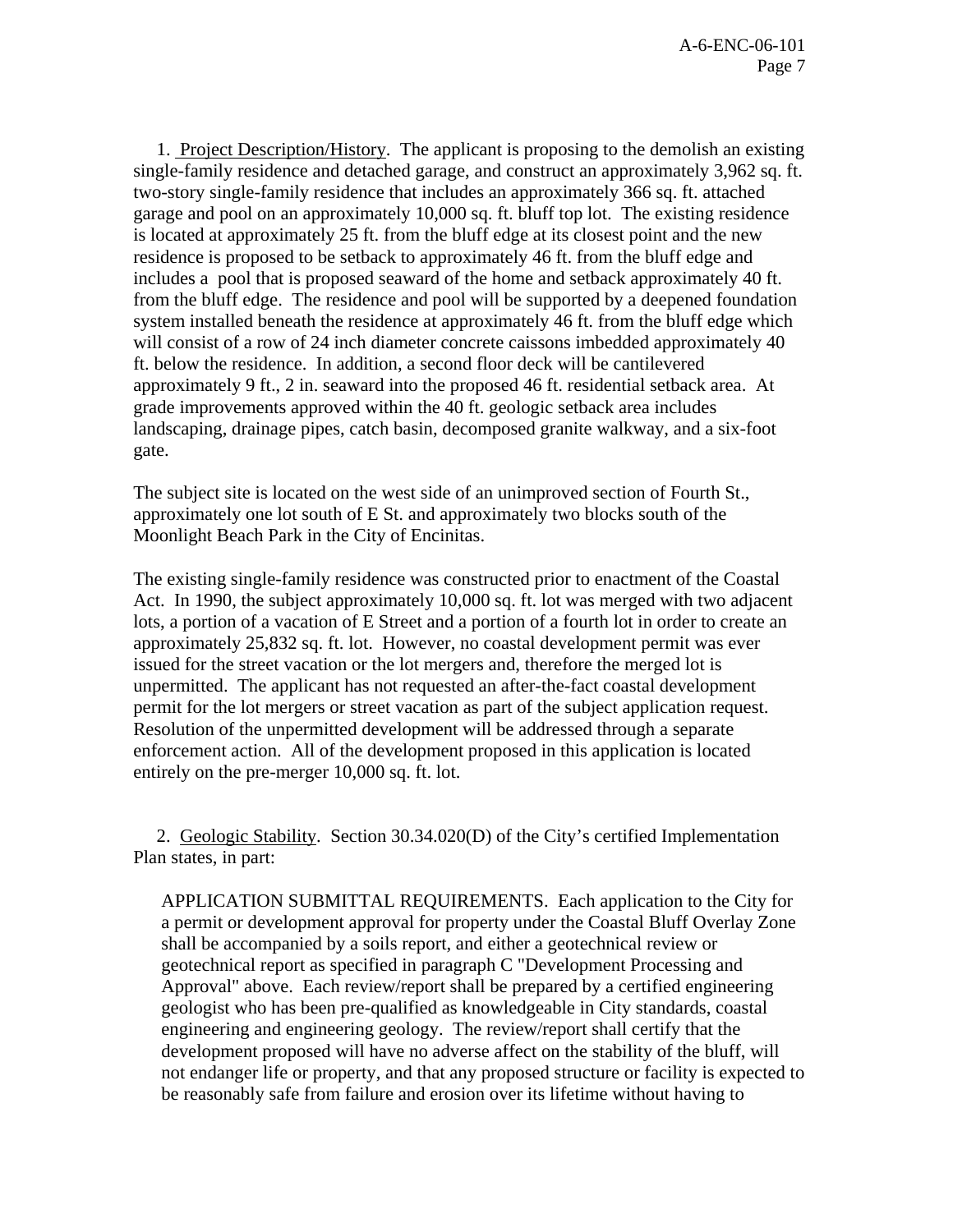1. Project Description/History. The applicant is proposing to the demolish an existing single-family residence and detached garage, and construct an approximately 3,962 sq. ft. two-story single-family residence that includes an approximately 366 sq. ft. attached garage and pool on an approximately 10,000 sq. ft. bluff top lot. The existing residence is located at approximately 25 ft. from the bluff edge at its closest point and the new residence is proposed to be setback to approximately 46 ft. from the bluff edge and includes a pool that is proposed seaward of the home and setback approximately 40 ft. from the bluff edge. The residence and pool will be supported by a deepened foundation system installed beneath the residence at approximately 46 ft. from the bluff edge which will consist of a row of 24 inch diameter concrete caissons imbedded approximately 40 ft. below the residence. In addition, a second floor deck will be cantilevered approximately 9 ft., 2 in. seaward into the proposed 46 ft. residential setback area. At grade improvements approved within the 40 ft. geologic setback area includes landscaping, drainage pipes, catch basin, decomposed granite walkway, and a six-foot gate.

The subject site is located on the west side of an unimproved section of Fourth St., approximately one lot south of E St. and approximately two blocks south of the Moonlight Beach Park in the City of Encinitas.

The existing single-family residence was constructed prior to enactment of the Coastal Act. In 1990, the subject approximately 10,000 sq. ft. lot was merged with two adjacent lots, a portion of a vacation of E Street and a portion of a fourth lot in order to create an approximately 25,832 sq. ft. lot. However, no coastal development permit was ever issued for the street vacation or the lot mergers and, therefore the merged lot is unpermitted. The applicant has not requested an after-the-fact coastal development permit for the lot mergers or street vacation as part of the subject application request. Resolution of the unpermitted development will be addressed through a separate enforcement action. All of the development proposed in this application is located entirely on the pre-merger 10,000 sq. ft. lot.

 2. Geologic Stability. Section 30.34.020(D) of the City's certified Implementation Plan states, in part:

APPLICATION SUBMITTAL REQUIREMENTS. Each application to the City for a permit or development approval for property under the Coastal Bluff Overlay Zone shall be accompanied by a soils report, and either a geotechnical review or geotechnical report as specified in paragraph C "Development Processing and Approval" above. Each review/report shall be prepared by a certified engineering geologist who has been pre-qualified as knowledgeable in City standards, coastal engineering and engineering geology. The review/report shall certify that the development proposed will have no adverse affect on the stability of the bluff, will not endanger life or property, and that any proposed structure or facility is expected to be reasonably safe from failure and erosion over its lifetime without having to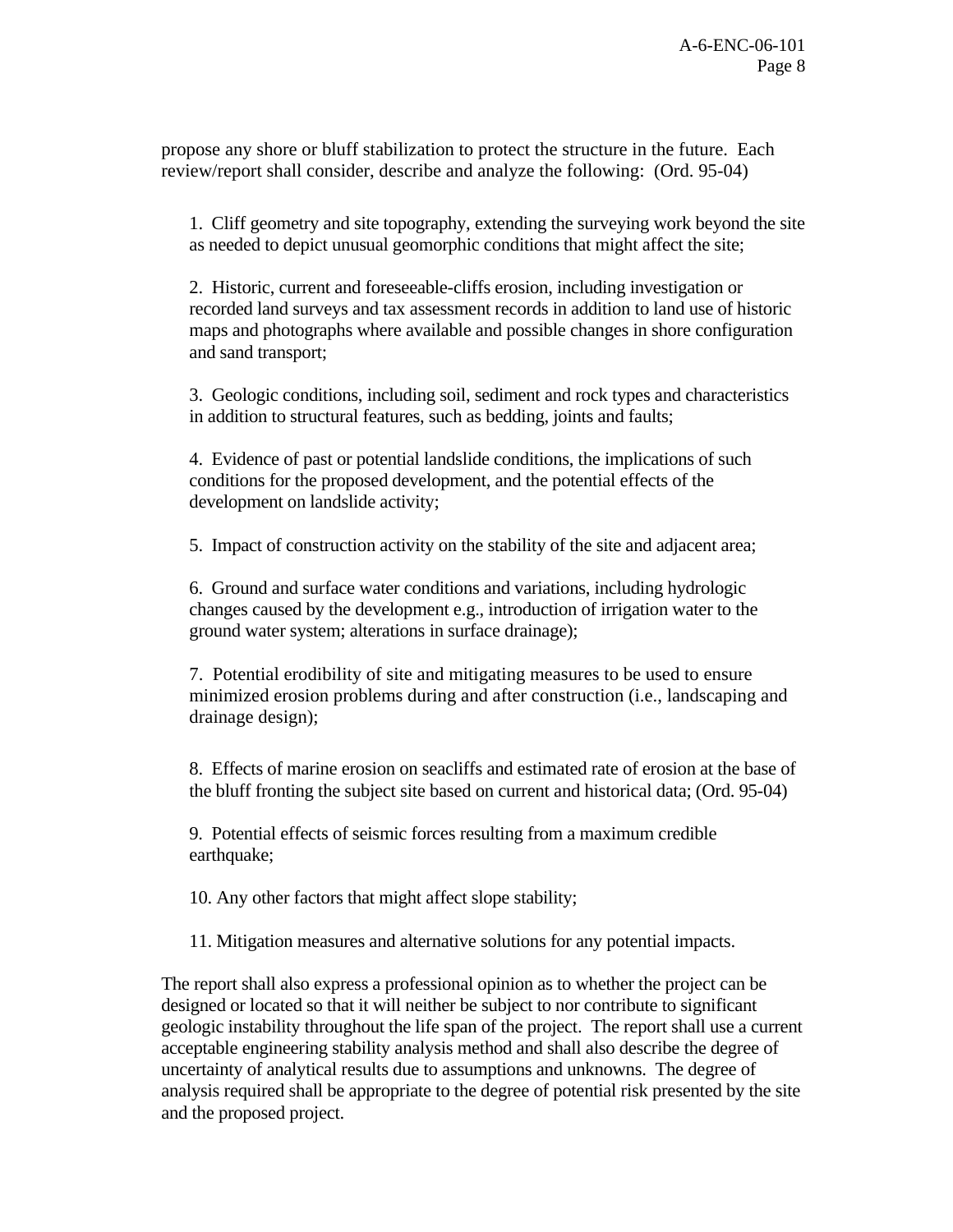propose any shore or bluff stabilization to protect the structure in the future. Each review/report shall consider, describe and analyze the following: (Ord. 95-04)

1. Cliff geometry and site topography, extending the surveying work beyond the site as needed to depict unusual geomorphic conditions that might affect the site;

2. Historic, current and foreseeable-cliffs erosion, including investigation or recorded land surveys and tax assessment records in addition to land use of historic maps and photographs where available and possible changes in shore configuration and sand transport;

3. Geologic conditions, including soil, sediment and rock types and characteristics in addition to structural features, such as bedding, joints and faults;

4. Evidence of past or potential landslide conditions, the implications of such conditions for the proposed development, and the potential effects of the development on landslide activity;

5. Impact of construction activity on the stability of the site and adjacent area;

6. Ground and surface water conditions and variations, including hydrologic changes caused by the development e.g., introduction of irrigation water to the ground water system; alterations in surface drainage);

7. Potential erodibility of site and mitigating measures to be used to ensure minimized erosion problems during and after construction (i.e., landscaping and drainage design);

 8. Effects of marine erosion on seacliffs and estimated rate of erosion at the base of the bluff fronting the subject site based on current and historical data; (Ord. 95-04)

 9. Potential effects of seismic forces resulting from a maximum credible earthquake;

10. Any other factors that might affect slope stability;

11. Mitigation measures and alternative solutions for any potential impacts.

The report shall also express a professional opinion as to whether the project can be designed or located so that it will neither be subject to nor contribute to significant geologic instability throughout the life span of the project. The report shall use a current acceptable engineering stability analysis method and shall also describe the degree of uncertainty of analytical results due to assumptions and unknowns. The degree of analysis required shall be appropriate to the degree of potential risk presented by the site and the proposed project.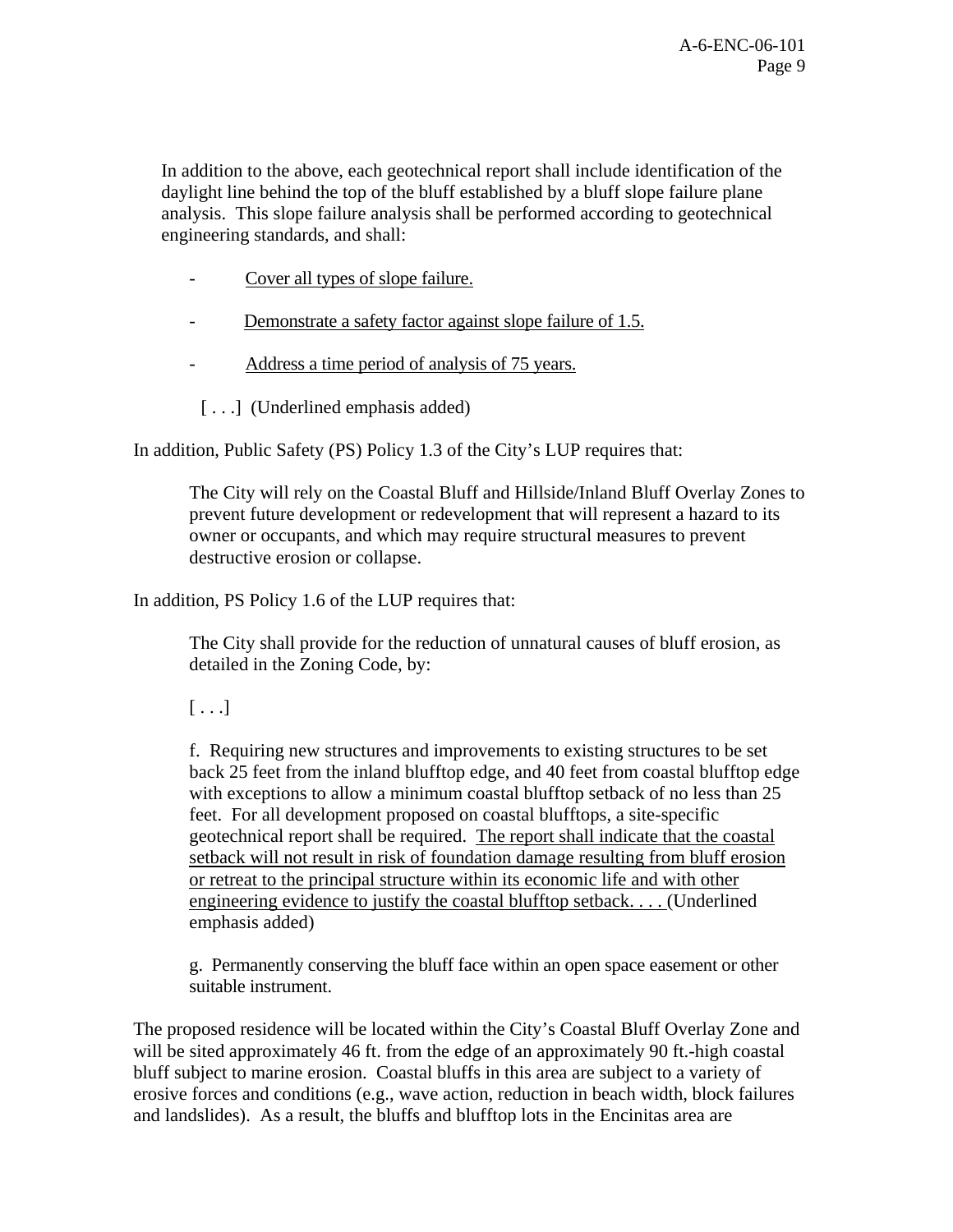In addition to the above, each geotechnical report shall include identification of the daylight line behind the top of the bluff established by a bluff slope failure plane analysis. This slope failure analysis shall be performed according to geotechnical engineering standards, and shall:

- Cover all types of slope failure.
- Demonstrate a safety factor against slope failure of 1.5.
- Address a time period of analysis of 75 years.
	- [...] (Underlined emphasis added)

In addition, Public Safety (PS) Policy 1.3 of the City's LUP requires that:

The City will rely on the Coastal Bluff and Hillside/Inland Bluff Overlay Zones to prevent future development or redevelopment that will represent a hazard to its owner or occupants, and which may require structural measures to prevent destructive erosion or collapse.

In addition, PS Policy 1.6 of the LUP requires that:

The City shall provide for the reduction of unnatural causes of bluff erosion, as detailed in the Zoning Code, by:

 $[ \ldots]$ 

f. Requiring new structures and improvements to existing structures to be set back 25 feet from the inland blufftop edge, and 40 feet from coastal blufftop edge with exceptions to allow a minimum coastal blufftop setback of no less than 25 feet. For all development proposed on coastal blufftops, a site-specific geotechnical report shall be required. The report shall indicate that the coastal setback will not result in risk of foundation damage resulting from bluff erosion or retreat to the principal structure within its economic life and with other engineering evidence to justify the coastal blufftop setback. . . . (Underlined emphasis added)

g. Permanently conserving the bluff face within an open space easement or other suitable instrument.

The proposed residence will be located within the City's Coastal Bluff Overlay Zone and will be sited approximately 46 ft. from the edge of an approximately 90 ft.-high coastal bluff subject to marine erosion. Coastal bluffs in this area are subject to a variety of erosive forces and conditions (e.g., wave action, reduction in beach width, block failures and landslides). As a result, the bluffs and blufftop lots in the Encinitas area are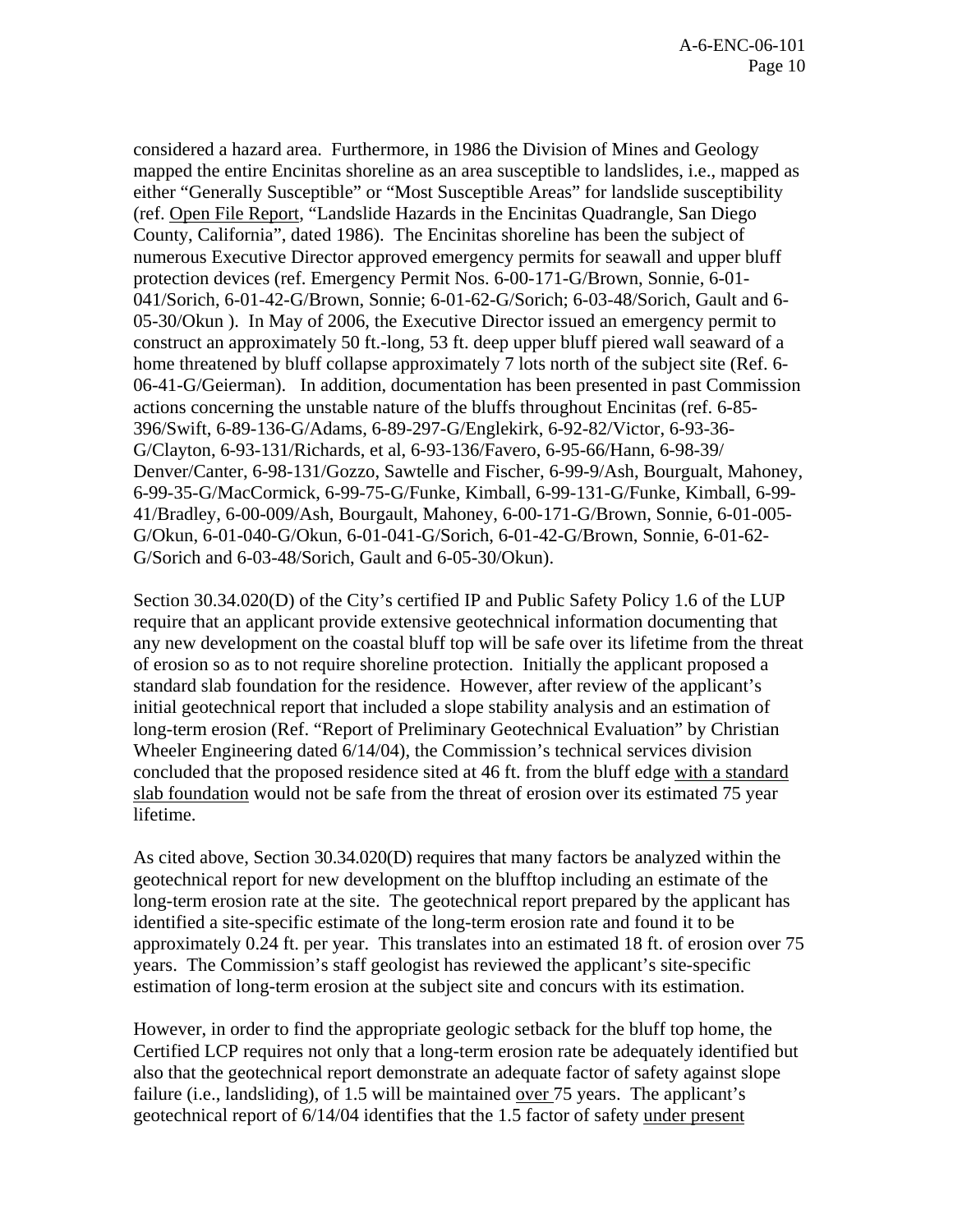considered a hazard area. Furthermore, in 1986 the Division of Mines and Geology mapped the entire Encinitas shoreline as an area susceptible to landslides, i.e., mapped as either "Generally Susceptible" or "Most Susceptible Areas" for landslide susceptibility (ref. Open File Report, "Landslide Hazards in the Encinitas Quadrangle, San Diego County, California", dated 1986). The Encinitas shoreline has been the subject of numerous Executive Director approved emergency permits for seawall and upper bluff protection devices (ref. Emergency Permit Nos. 6-00-171-G/Brown, Sonnie, 6-01- 041/Sorich, 6-01-42-G/Brown, Sonnie; 6-01-62-G/Sorich; 6-03-48/Sorich, Gault and 6- 05-30/Okun ). In May of 2006, the Executive Director issued an emergency permit to construct an approximately 50 ft.-long, 53 ft. deep upper bluff piered wall seaward of a home threatened by bluff collapse approximately 7 lots north of the subject site (Ref. 6- 06-41-G/Geierman). In addition, documentation has been presented in past Commission actions concerning the unstable nature of the bluffs throughout Encinitas (ref. 6-85- 396/Swift, 6-89-136-G/Adams, 6-89-297-G/Englekirk, 6-92-82/Victor, 6-93-36- G/Clayton, 6-93-131/Richards, et al, 6-93-136/Favero, 6-95-66/Hann, 6-98-39/ Denver/Canter, 6-98-131/Gozzo, Sawtelle and Fischer, 6-99-9/Ash, Bourgualt, Mahoney, 6-99-35-G/MacCormick, 6-99-75-G/Funke, Kimball, 6-99-131-G/Funke, Kimball, 6-99- 41/Bradley, 6-00-009/Ash, Bourgault, Mahoney, 6-00-171-G/Brown, Sonnie, 6-01-005- G/Okun, 6-01-040-G/Okun, 6-01-041-G/Sorich, 6-01-42-G/Brown, Sonnie, 6-01-62- G/Sorich and 6-03-48/Sorich, Gault and 6-05-30/Okun).

Section 30.34.020(D) of the City's certified IP and Public Safety Policy 1.6 of the LUP require that an applicant provide extensive geotechnical information documenting that any new development on the coastal bluff top will be safe over its lifetime from the threat of erosion so as to not require shoreline protection. Initially the applicant proposed a standard slab foundation for the residence. However, after review of the applicant's initial geotechnical report that included a slope stability analysis and an estimation of long-term erosion (Ref. "Report of Preliminary Geotechnical Evaluation" by Christian Wheeler Engineering dated 6/14/04), the Commission's technical services division concluded that the proposed residence sited at 46 ft. from the bluff edge with a standard slab foundation would not be safe from the threat of erosion over its estimated 75 year lifetime.

As cited above, Section 30.34.020(D) requires that many factors be analyzed within the geotechnical report for new development on the blufftop including an estimate of the long-term erosion rate at the site. The geotechnical report prepared by the applicant has identified a site-specific estimate of the long-term erosion rate and found it to be approximately 0.24 ft. per year. This translates into an estimated 18 ft. of erosion over 75 years. The Commission's staff geologist has reviewed the applicant's site-specific estimation of long-term erosion at the subject site and concurs with its estimation.

However, in order to find the appropriate geologic setback for the bluff top home, the Certified LCP requires not only that a long-term erosion rate be adequately identified but also that the geotechnical report demonstrate an adequate factor of safety against slope failure (i.e., landsliding), of 1.5 will be maintained <u>over</u> 75 years. The applicant's geotechnical report of 6/14/04 identifies that the 1.5 factor of safety under present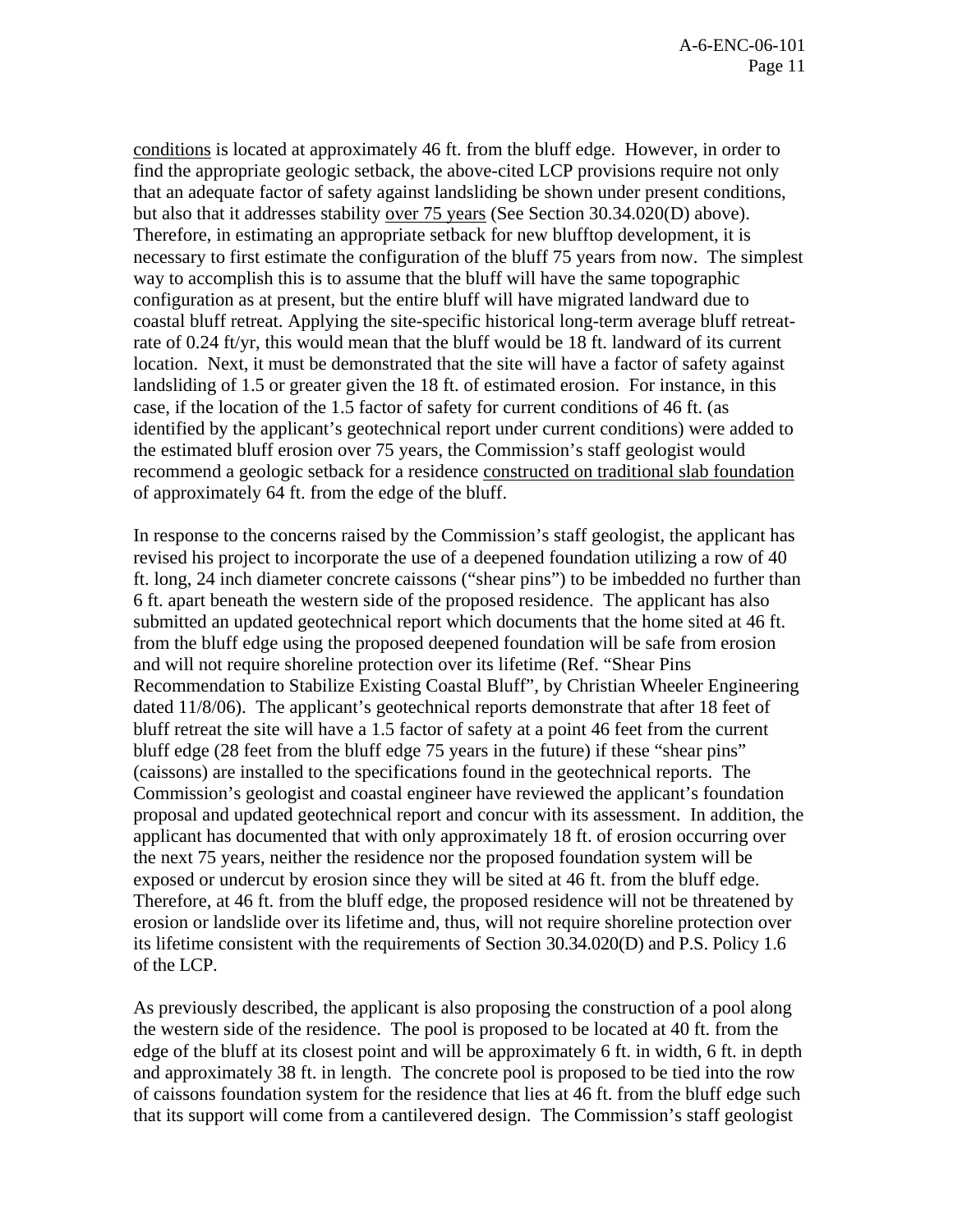conditions is located at approximately 46 ft. from the bluff edge. However, in order to find the appropriate geologic setback, the above-cited LCP provisions require not only that an adequate factor of safety against landsliding be shown under present conditions, but also that it addresses stability over 75 years (See Section 30.34.020(D) above). Therefore, in estimating an appropriate setback for new blufftop development, it is necessary to first estimate the configuration of the bluff 75 years from now. The simplest way to accomplish this is to assume that the bluff will have the same topographic configuration as at present, but the entire bluff will have migrated landward due to coastal bluff retreat. Applying the site-specific historical long-term average bluff retreatrate of 0.24 ft/yr, this would mean that the bluff would be 18 ft. landward of its current location. Next, it must be demonstrated that the site will have a factor of safety against landsliding of 1.5 or greater given the 18 ft. of estimated erosion. For instance, in this case, if the location of the 1.5 factor of safety for current conditions of 46 ft. (as identified by the applicant's geotechnical report under current conditions) were added to the estimated bluff erosion over 75 years, the Commission's staff geologist would recommend a geologic setback for a residence constructed on traditional slab foundation of approximately 64 ft. from the edge of the bluff.

In response to the concerns raised by the Commission's staff geologist, the applicant has revised his project to incorporate the use of a deepened foundation utilizing a row of 40 ft. long, 24 inch diameter concrete caissons ("shear pins") to be imbedded no further than 6 ft. apart beneath the western side of the proposed residence. The applicant has also submitted an updated geotechnical report which documents that the home sited at 46 ft. from the bluff edge using the proposed deepened foundation will be safe from erosion and will not require shoreline protection over its lifetime (Ref. "Shear Pins Recommendation to Stabilize Existing Coastal Bluff", by Christian Wheeler Engineering dated 11/8/06). The applicant's geotechnical reports demonstrate that after 18 feet of bluff retreat the site will have a 1.5 factor of safety at a point 46 feet from the current bluff edge (28 feet from the bluff edge 75 years in the future) if these "shear pins" (caissons) are installed to the specifications found in the geotechnical reports. The Commission's geologist and coastal engineer have reviewed the applicant's foundation proposal and updated geotechnical report and concur with its assessment. In addition, the applicant has documented that with only approximately 18 ft. of erosion occurring over the next 75 years, neither the residence nor the proposed foundation system will be exposed or undercut by erosion since they will be sited at 46 ft. from the bluff edge. Therefore, at 46 ft. from the bluff edge, the proposed residence will not be threatened by erosion or landslide over its lifetime and, thus, will not require shoreline protection over its lifetime consistent with the requirements of Section 30.34.020(D) and P.S. Policy 1.6 of the LCP.

As previously described, the applicant is also proposing the construction of a pool along the western side of the residence. The pool is proposed to be located at 40 ft. from the edge of the bluff at its closest point and will be approximately 6 ft. in width, 6 ft. in depth and approximately 38 ft. in length. The concrete pool is proposed to be tied into the row of caissons foundation system for the residence that lies at 46 ft. from the bluff edge such that its support will come from a cantilevered design. The Commission's staff geologist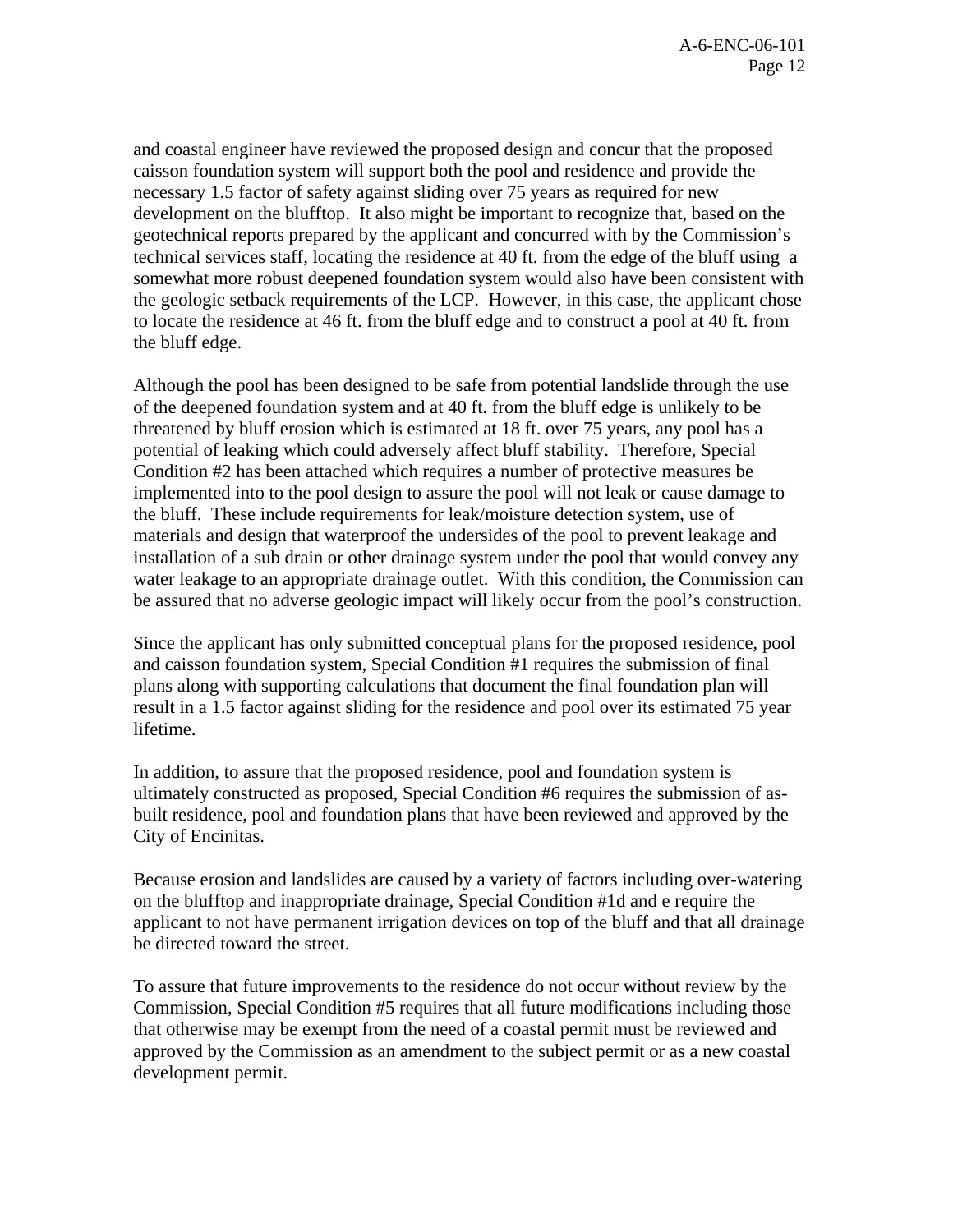and coastal engineer have reviewed the proposed design and concur that the proposed caisson foundation system will support both the pool and residence and provide the necessary 1.5 factor of safety against sliding over 75 years as required for new development on the blufftop. It also might be important to recognize that, based on the geotechnical reports prepared by the applicant and concurred with by the Commission's technical services staff, locating the residence at 40 ft. from the edge of the bluff using a somewhat more robust deepened foundation system would also have been consistent with the geologic setback requirements of the LCP. However, in this case, the applicant chose to locate the residence at 46 ft. from the bluff edge and to construct a pool at 40 ft. from the bluff edge.

Although the pool has been designed to be safe from potential landslide through the use of the deepened foundation system and at 40 ft. from the bluff edge is unlikely to be threatened by bluff erosion which is estimated at 18 ft. over 75 years, any pool has a potential of leaking which could adversely affect bluff stability. Therefore, Special Condition #2 has been attached which requires a number of protective measures be implemented into to the pool design to assure the pool will not leak or cause damage to the bluff. These include requirements for leak/moisture detection system, use of materials and design that waterproof the undersides of the pool to prevent leakage and installation of a sub drain or other drainage system under the pool that would convey any water leakage to an appropriate drainage outlet. With this condition, the Commission can be assured that no adverse geologic impact will likely occur from the pool's construction.

Since the applicant has only submitted conceptual plans for the proposed residence, pool and caisson foundation system, Special Condition #1 requires the submission of final plans along with supporting calculations that document the final foundation plan will result in a 1.5 factor against sliding for the residence and pool over its estimated 75 year lifetime.

In addition, to assure that the proposed residence, pool and foundation system is ultimately constructed as proposed, Special Condition #6 requires the submission of asbuilt residence, pool and foundation plans that have been reviewed and approved by the City of Encinitas.

Because erosion and landslides are caused by a variety of factors including over-watering on the blufftop and inappropriate drainage, Special Condition #1d and e require the applicant to not have permanent irrigation devices on top of the bluff and that all drainage be directed toward the street.

To assure that future improvements to the residence do not occur without review by the Commission, Special Condition #5 requires that all future modifications including those that otherwise may be exempt from the need of a coastal permit must be reviewed and approved by the Commission as an amendment to the subject permit or as a new coastal development permit.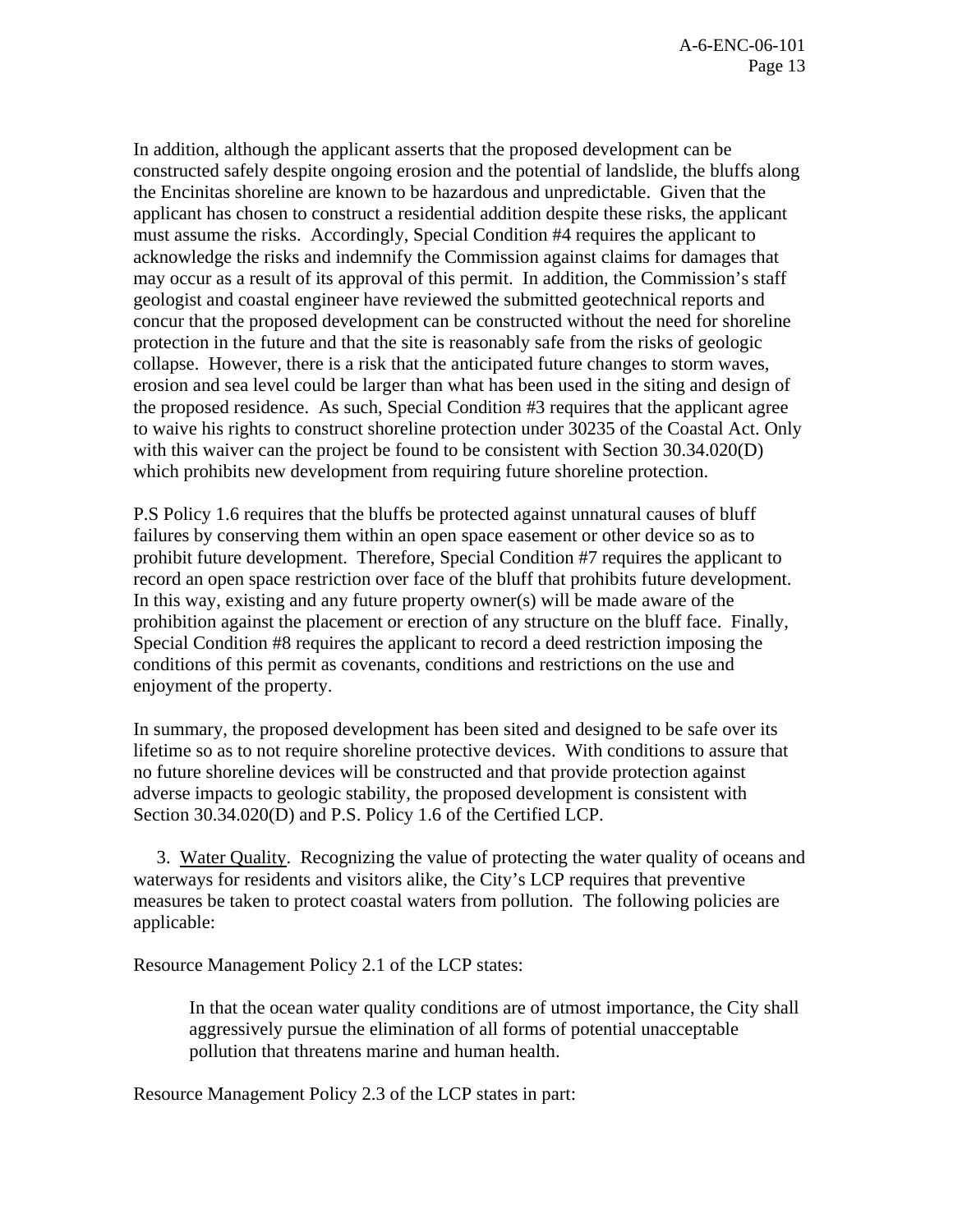In addition, although the applicant asserts that the proposed development can be constructed safely despite ongoing erosion and the potential of landslide, the bluffs along the Encinitas shoreline are known to be hazardous and unpredictable. Given that the applicant has chosen to construct a residential addition despite these risks, the applicant must assume the risks. Accordingly, Special Condition #4 requires the applicant to acknowledge the risks and indemnify the Commission against claims for damages that may occur as a result of its approval of this permit. In addition, the Commission's staff geologist and coastal engineer have reviewed the submitted geotechnical reports and concur that the proposed development can be constructed without the need for shoreline protection in the future and that the site is reasonably safe from the risks of geologic collapse. However, there is a risk that the anticipated future changes to storm waves, erosion and sea level could be larger than what has been used in the siting and design of the proposed residence. As such, Special Condition #3 requires that the applicant agree to waive his rights to construct shoreline protection under 30235 of the Coastal Act. Only with this waiver can the project be found to be consistent with Section 30.34.020(D) which prohibits new development from requiring future shoreline protection.

P.S Policy 1.6 requires that the bluffs be protected against unnatural causes of bluff failures by conserving them within an open space easement or other device so as to prohibit future development. Therefore, Special Condition #7 requires the applicant to record an open space restriction over face of the bluff that prohibits future development. In this way, existing and any future property owner(s) will be made aware of the prohibition against the placement or erection of any structure on the bluff face. Finally, Special Condition #8 requires the applicant to record a deed restriction imposing the conditions of this permit as covenants, conditions and restrictions on the use and enjoyment of the property.

In summary, the proposed development has been sited and designed to be safe over its lifetime so as to not require shoreline protective devices. With conditions to assure that no future shoreline devices will be constructed and that provide protection against adverse impacts to geologic stability, the proposed development is consistent with Section 30.34.020(D) and P.S. Policy 1.6 of the Certified LCP.

 3. Water Quality. Recognizing the value of protecting the water quality of oceans and waterways for residents and visitors alike, the City's LCP requires that preventive measures be taken to protect coastal waters from pollution. The following policies are applicable:

Resource Management Policy 2.1 of the LCP states:

In that the ocean water quality conditions are of utmost importance, the City shall aggressively pursue the elimination of all forms of potential unacceptable pollution that threatens marine and human health.

Resource Management Policy 2.3 of the LCP states in part: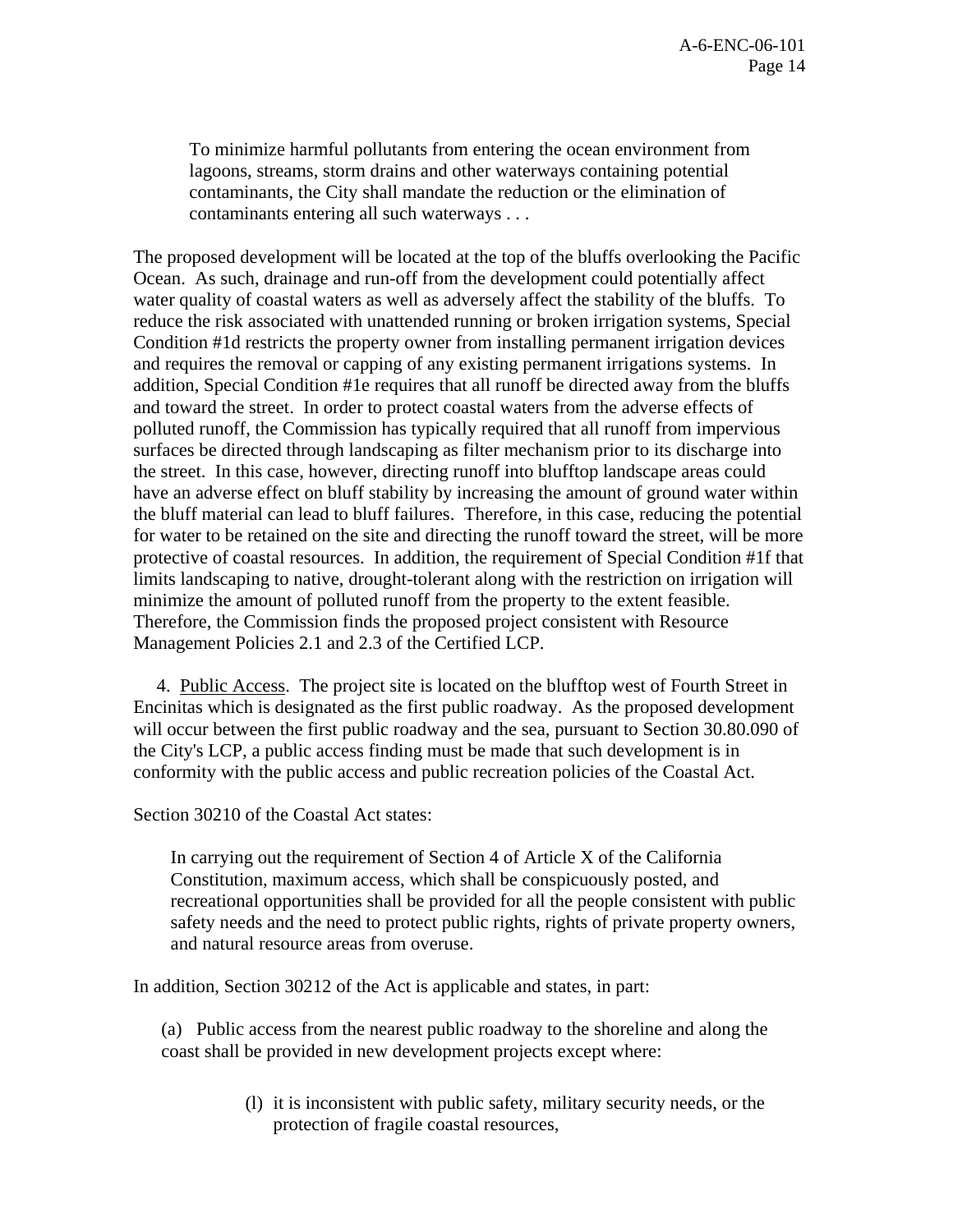To minimize harmful pollutants from entering the ocean environment from lagoons, streams, storm drains and other waterways containing potential contaminants, the City shall mandate the reduction or the elimination of contaminants entering all such waterways . . .

The proposed development will be located at the top of the bluffs overlooking the Pacific Ocean. As such, drainage and run-off from the development could potentially affect water quality of coastal waters as well as adversely affect the stability of the bluffs. To reduce the risk associated with unattended running or broken irrigation systems, Special Condition #1d restricts the property owner from installing permanent irrigation devices and requires the removal or capping of any existing permanent irrigations systems. In addition, Special Condition #1e requires that all runoff be directed away from the bluffs and toward the street. In order to protect coastal waters from the adverse effects of polluted runoff, the Commission has typically required that all runoff from impervious surfaces be directed through landscaping as filter mechanism prior to its discharge into the street. In this case, however, directing runoff into blufftop landscape areas could have an adverse effect on bluff stability by increasing the amount of ground water within the bluff material can lead to bluff failures. Therefore, in this case, reducing the potential for water to be retained on the site and directing the runoff toward the street, will be more protective of coastal resources. In addition, the requirement of Special Condition #1f that limits landscaping to native, drought-tolerant along with the restriction on irrigation will minimize the amount of polluted runoff from the property to the extent feasible. Therefore, the Commission finds the proposed project consistent with Resource Management Policies 2.1 and 2.3 of the Certified LCP.

 4. Public Access. The project site is located on the blufftop west of Fourth Street in Encinitas which is designated as the first public roadway. As the proposed development will occur between the first public roadway and the sea, pursuant to Section 30.80.090 of the City's LCP, a public access finding must be made that such development is in conformity with the public access and public recreation policies of the Coastal Act.

Section 30210 of the Coastal Act states:

In carrying out the requirement of Section 4 of Article X of the California Constitution, maximum access, which shall be conspicuously posted, and recreational opportunities shall be provided for all the people consistent with public safety needs and the need to protect public rights, rights of private property owners, and natural resource areas from overuse.

In addition, Section 30212 of the Act is applicable and states, in part:

(a) Public access from the nearest public roadway to the shoreline and along the coast shall be provided in new development projects except where:

> (l) it is inconsistent with public safety, military security needs, or the protection of fragile coastal resources,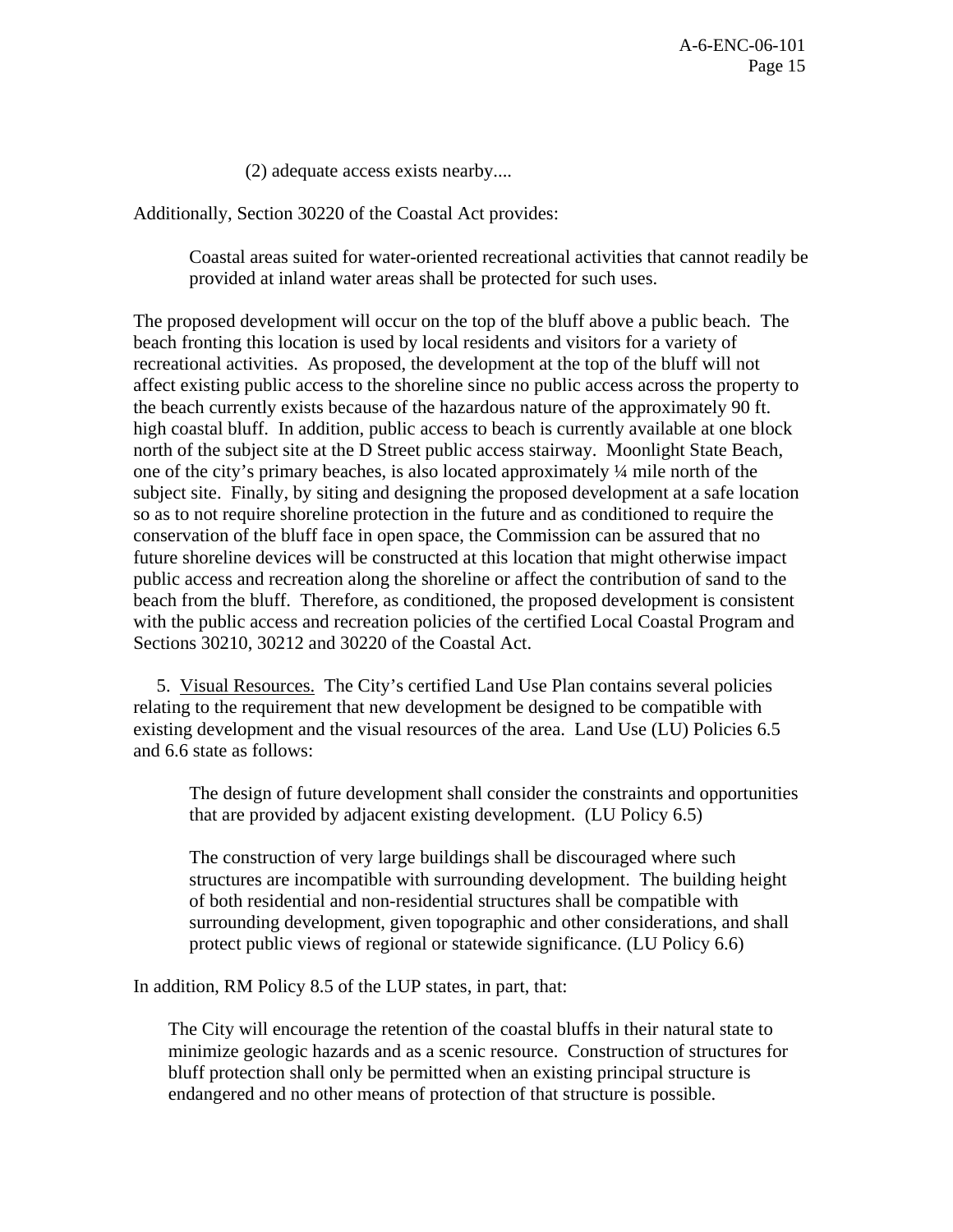(2) adequate access exists nearby....

Additionally, Section 30220 of the Coastal Act provides:

Coastal areas suited for water-oriented recreational activities that cannot readily be provided at inland water areas shall be protected for such uses.

The proposed development will occur on the top of the bluff above a public beach. The beach fronting this location is used by local residents and visitors for a variety of recreational activities. As proposed, the development at the top of the bluff will not affect existing public access to the shoreline since no public access across the property to the beach currently exists because of the hazardous nature of the approximately 90 ft. high coastal bluff. In addition, public access to beach is currently available at one block north of the subject site at the D Street public access stairway. Moonlight State Beach, one of the city's primary beaches, is also located approximately ¼ mile north of the subject site. Finally, by siting and designing the proposed development at a safe location so as to not require shoreline protection in the future and as conditioned to require the conservation of the bluff face in open space, the Commission can be assured that no future shoreline devices will be constructed at this location that might otherwise impact public access and recreation along the shoreline or affect the contribution of sand to the beach from the bluff. Therefore, as conditioned, the proposed development is consistent with the public access and recreation policies of the certified Local Coastal Program and Sections 30210, 30212 and 30220 of the Coastal Act.

 5. Visual Resources. The City's certified Land Use Plan contains several policies relating to the requirement that new development be designed to be compatible with existing development and the visual resources of the area. Land Use (LU) Policies 6.5 and 6.6 state as follows:

The design of future development shall consider the constraints and opportunities that are provided by adjacent existing development. (LU Policy 6.5)

The construction of very large buildings shall be discouraged where such structures are incompatible with surrounding development. The building height of both residential and non-residential structures shall be compatible with surrounding development, given topographic and other considerations, and shall protect public views of regional or statewide significance. (LU Policy 6.6)

In addition, RM Policy 8.5 of the LUP states, in part, that:

The City will encourage the retention of the coastal bluffs in their natural state to minimize geologic hazards and as a scenic resource. Construction of structures for bluff protection shall only be permitted when an existing principal structure is endangered and no other means of protection of that structure is possible.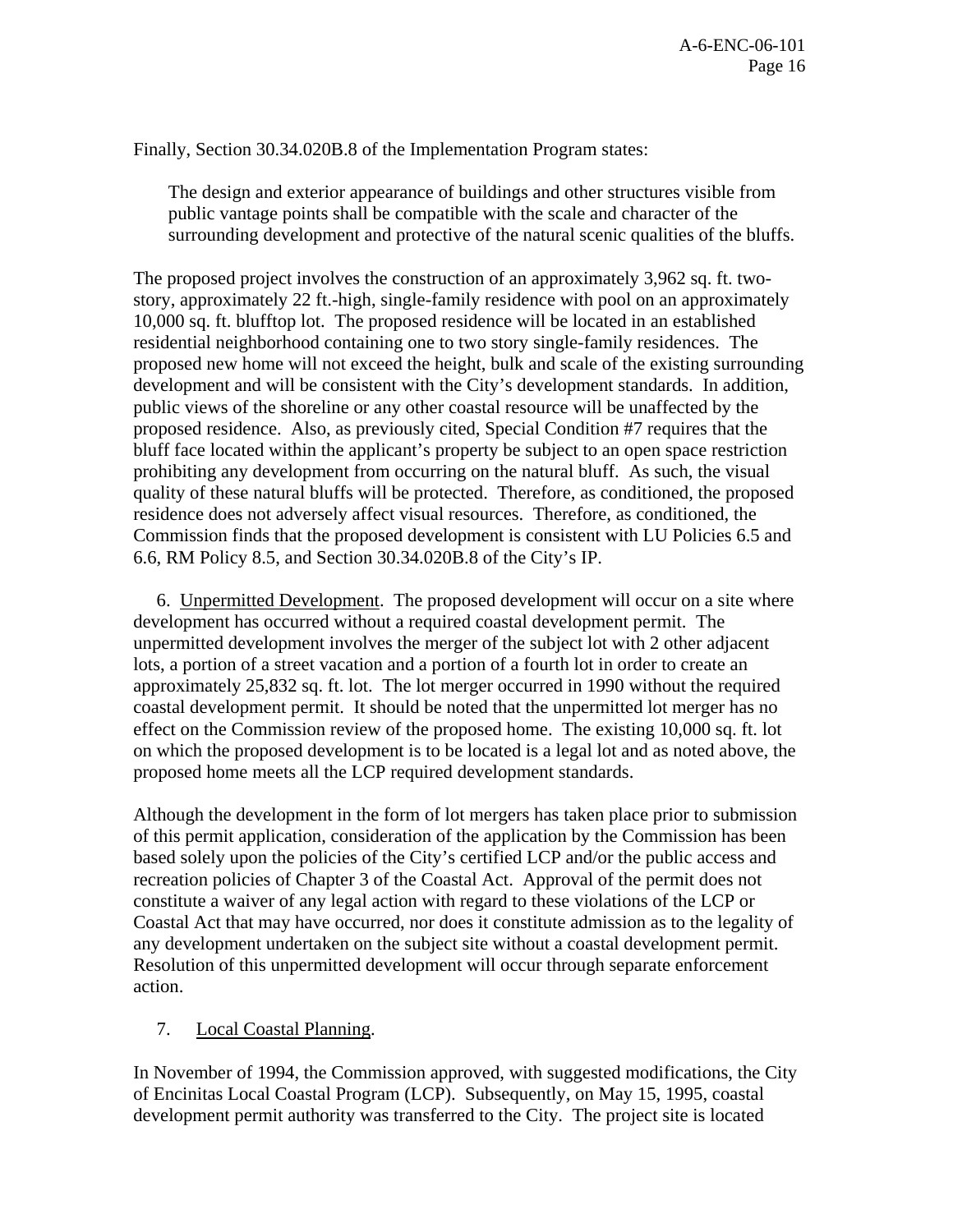Finally, Section 30.34.020B.8 of the Implementation Program states:

The design and exterior appearance of buildings and other structures visible from public vantage points shall be compatible with the scale and character of the surrounding development and protective of the natural scenic qualities of the bluffs.

The proposed project involves the construction of an approximately 3,962 sq. ft. twostory, approximately 22 ft.-high, single-family residence with pool on an approximately 10,000 sq. ft. blufftop lot. The proposed residence will be located in an established residential neighborhood containing one to two story single-family residences. The proposed new home will not exceed the height, bulk and scale of the existing surrounding development and will be consistent with the City's development standards. In addition, public views of the shoreline or any other coastal resource will be unaffected by the proposed residence. Also, as previously cited, Special Condition #7 requires that the bluff face located within the applicant's property be subject to an open space restriction prohibiting any development from occurring on the natural bluff. As such, the visual quality of these natural bluffs will be protected. Therefore, as conditioned, the proposed residence does not adversely affect visual resources. Therefore, as conditioned, the Commission finds that the proposed development is consistent with LU Policies 6.5 and 6.6, RM Policy 8.5, and Section 30.34.020B.8 of the City's IP.

 6. Unpermitted Development. The proposed development will occur on a site where development has occurred without a required coastal development permit. The unpermitted development involves the merger of the subject lot with 2 other adjacent lots, a portion of a street vacation and a portion of a fourth lot in order to create an approximately 25,832 sq. ft. lot. The lot merger occurred in 1990 without the required coastal development permit. It should be noted that the unpermitted lot merger has no effect on the Commission review of the proposed home. The existing 10,000 sq. ft. lot on which the proposed development is to be located is a legal lot and as noted above, the proposed home meets all the LCP required development standards.

Although the development in the form of lot mergers has taken place prior to submission of this permit application, consideration of the application by the Commission has been based solely upon the policies of the City's certified LCP and/or the public access and recreation policies of Chapter 3 of the Coastal Act. Approval of the permit does not constitute a waiver of any legal action with regard to these violations of the LCP or Coastal Act that may have occurred, nor does it constitute admission as to the legality of any development undertaken on the subject site without a coastal development permit. Resolution of this unpermitted development will occur through separate enforcement action.

# 7. Local Coastal Planning.

In November of 1994, the Commission approved, with suggested modifications, the City of Encinitas Local Coastal Program (LCP). Subsequently, on May 15, 1995, coastal development permit authority was transferred to the City. The project site is located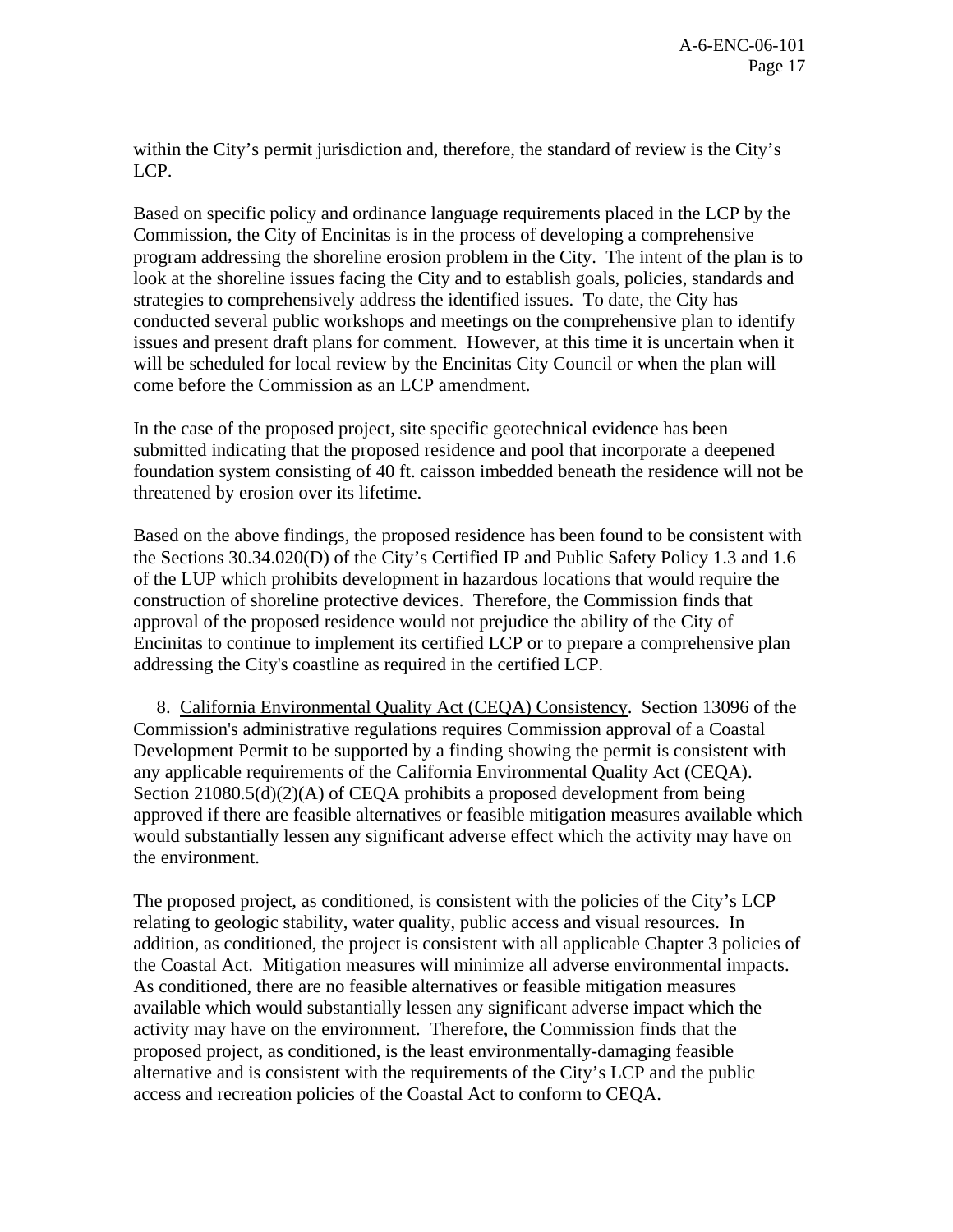within the City's permit jurisdiction and, therefore, the standard of review is the City's LCP.

Based on specific policy and ordinance language requirements placed in the LCP by the Commission, the City of Encinitas is in the process of developing a comprehensive program addressing the shoreline erosion problem in the City. The intent of the plan is to look at the shoreline issues facing the City and to establish goals, policies, standards and strategies to comprehensively address the identified issues. To date, the City has conducted several public workshops and meetings on the comprehensive plan to identify issues and present draft plans for comment. However, at this time it is uncertain when it will be scheduled for local review by the Encinitas City Council or when the plan will come before the Commission as an LCP amendment.

In the case of the proposed project, site specific geotechnical evidence has been submitted indicating that the proposed residence and pool that incorporate a deepened foundation system consisting of 40 ft. caisson imbedded beneath the residence will not be threatened by erosion over its lifetime.

Based on the above findings, the proposed residence has been found to be consistent with the Sections 30.34.020(D) of the City's Certified IP and Public Safety Policy 1.3 and 1.6 of the LUP which prohibits development in hazardous locations that would require the construction of shoreline protective devices. Therefore, the Commission finds that approval of the proposed residence would not prejudice the ability of the City of Encinitas to continue to implement its certified LCP or to prepare a comprehensive plan addressing the City's coastline as required in the certified LCP.

 8. California Environmental Quality Act (CEQA) Consistency. Section 13096 of the Commission's administrative regulations requires Commission approval of a Coastal Development Permit to be supported by a finding showing the permit is consistent with any applicable requirements of the California Environmental Quality Act (CEQA). Section 21080.5(d)(2)(A) of CEQA prohibits a proposed development from being approved if there are feasible alternatives or feasible mitigation measures available which would substantially lessen any significant adverse effect which the activity may have on the environment.

The proposed project, as conditioned, is consistent with the policies of the City's LCP relating to geologic stability, water quality, public access and visual resources. In addition, as conditioned, the project is consistent with all applicable Chapter 3 policies of the Coastal Act. Mitigation measures will minimize all adverse environmental impacts. As conditioned, there are no feasible alternatives or feasible mitigation measures available which would substantially lessen any significant adverse impact which the activity may have on the environment. Therefore, the Commission finds that the proposed project, as conditioned, is the least environmentally-damaging feasible alternative and is consistent with the requirements of the City's LCP and the public access and recreation policies of the Coastal Act to conform to CEQA.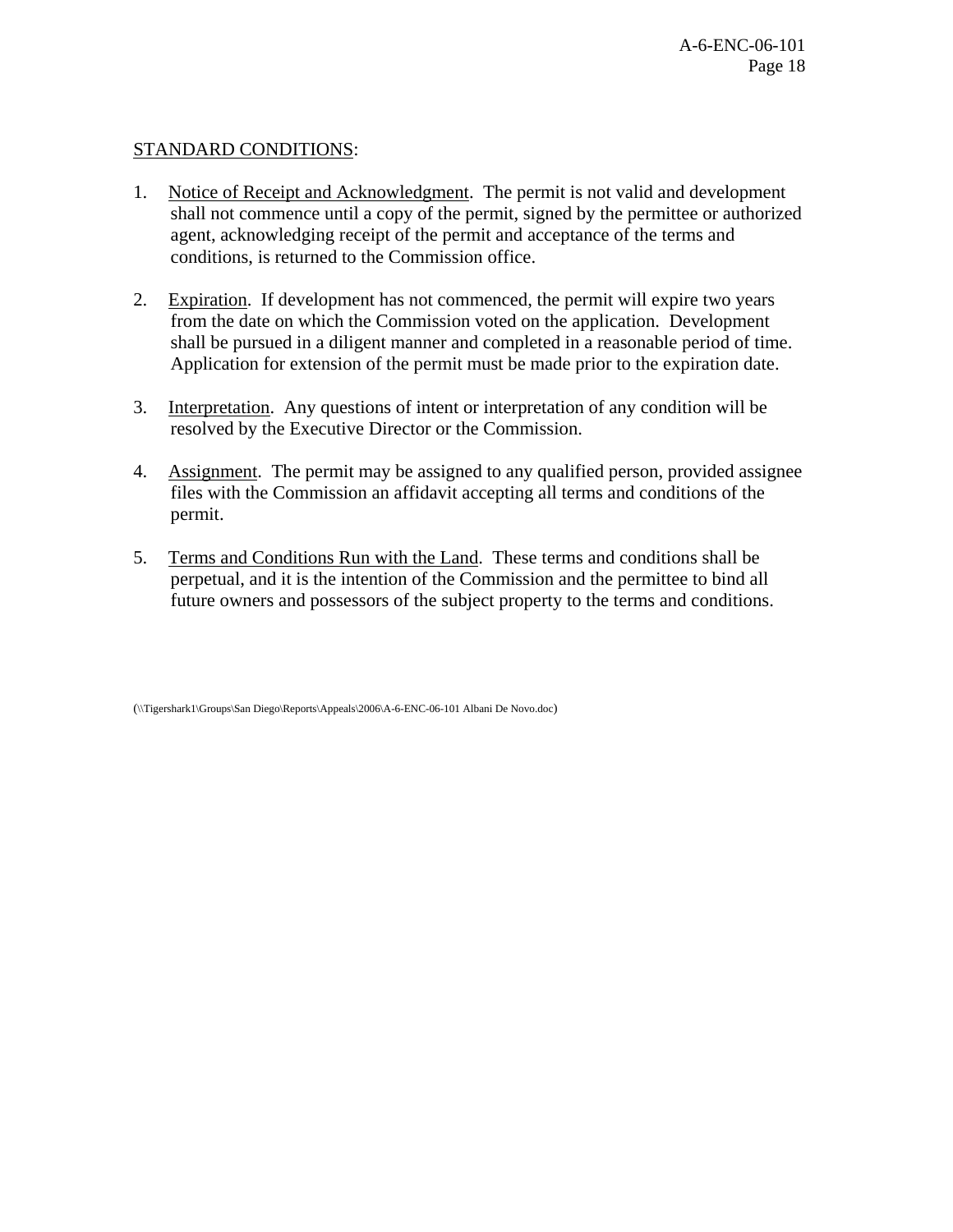## STANDARD CONDITIONS:

- 1. Notice of Receipt and Acknowledgment. The permit is not valid and development shall not commence until a copy of the permit, signed by the permittee or authorized agent, acknowledging receipt of the permit and acceptance of the terms and conditions, is returned to the Commission office.
- 2. Expiration. If development has not commenced, the permit will expire two years from the date on which the Commission voted on the application. Development shall be pursued in a diligent manner and completed in a reasonable period of time. Application for extension of the permit must be made prior to the expiration date.
- 3. Interpretation. Any questions of intent or interpretation of any condition will be resolved by the Executive Director or the Commission.
- 4. Assignment. The permit may be assigned to any qualified person, provided assignee files with the Commission an affidavit accepting all terms and conditions of the permit.
- 5. Terms and Conditions Run with the Land. These terms and conditions shall be perpetual, and it is the intention of the Commission and the permittee to bind all future owners and possessors of the subject property to the terms and conditions.

(\\Tigershark1\Groups\San Diego\Reports\Appeals\2006\A-6-ENC-06-101 Albani De Novo.doc)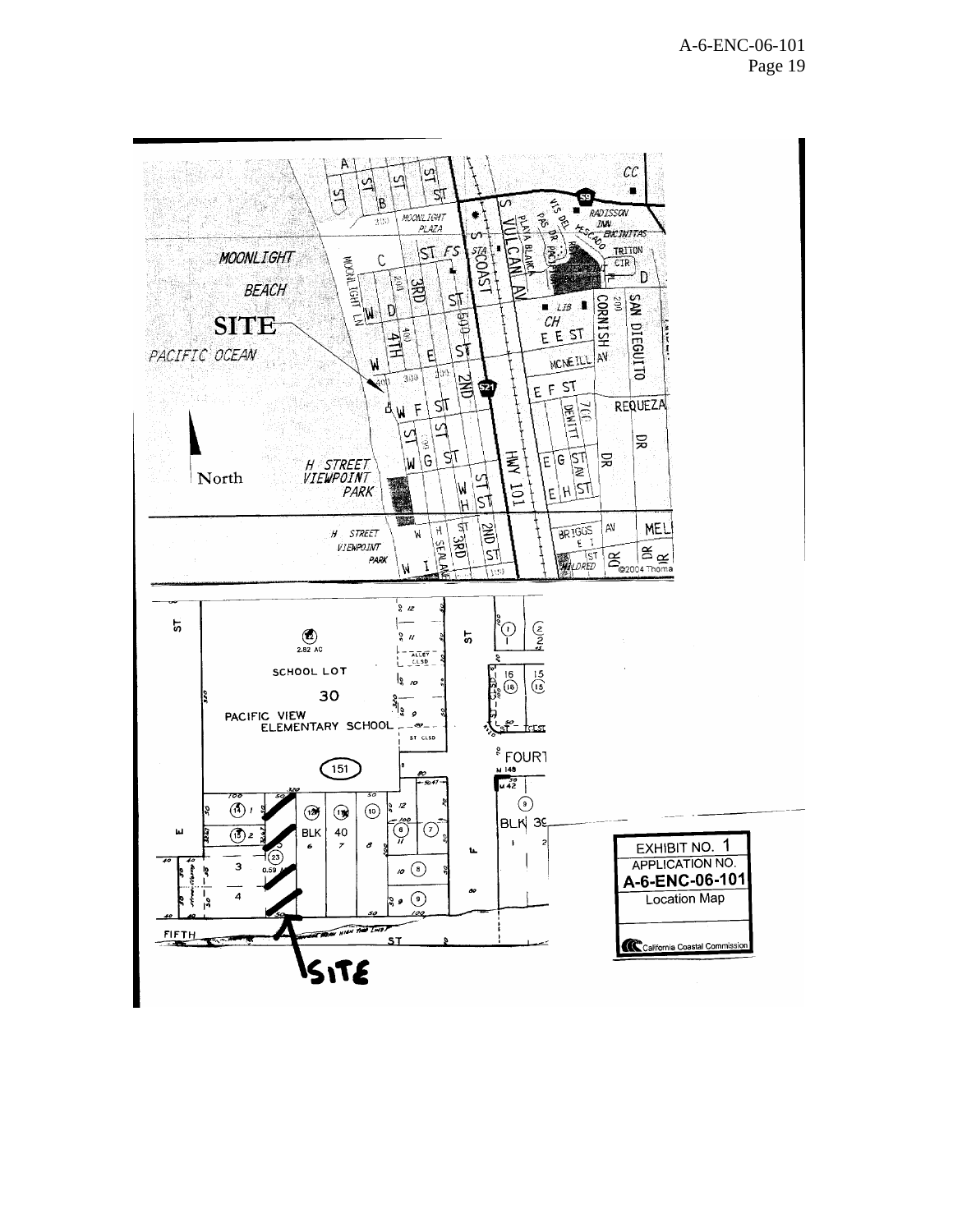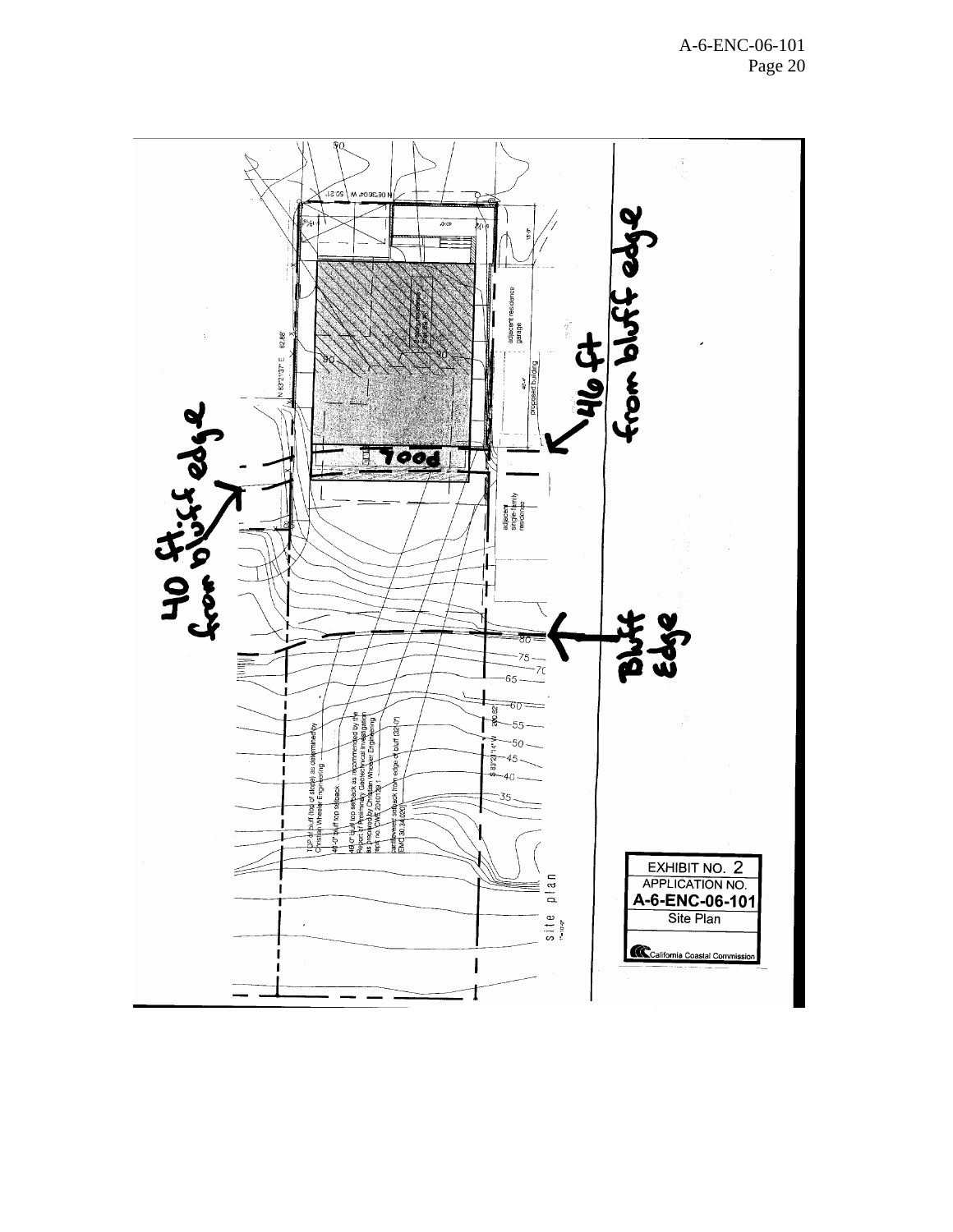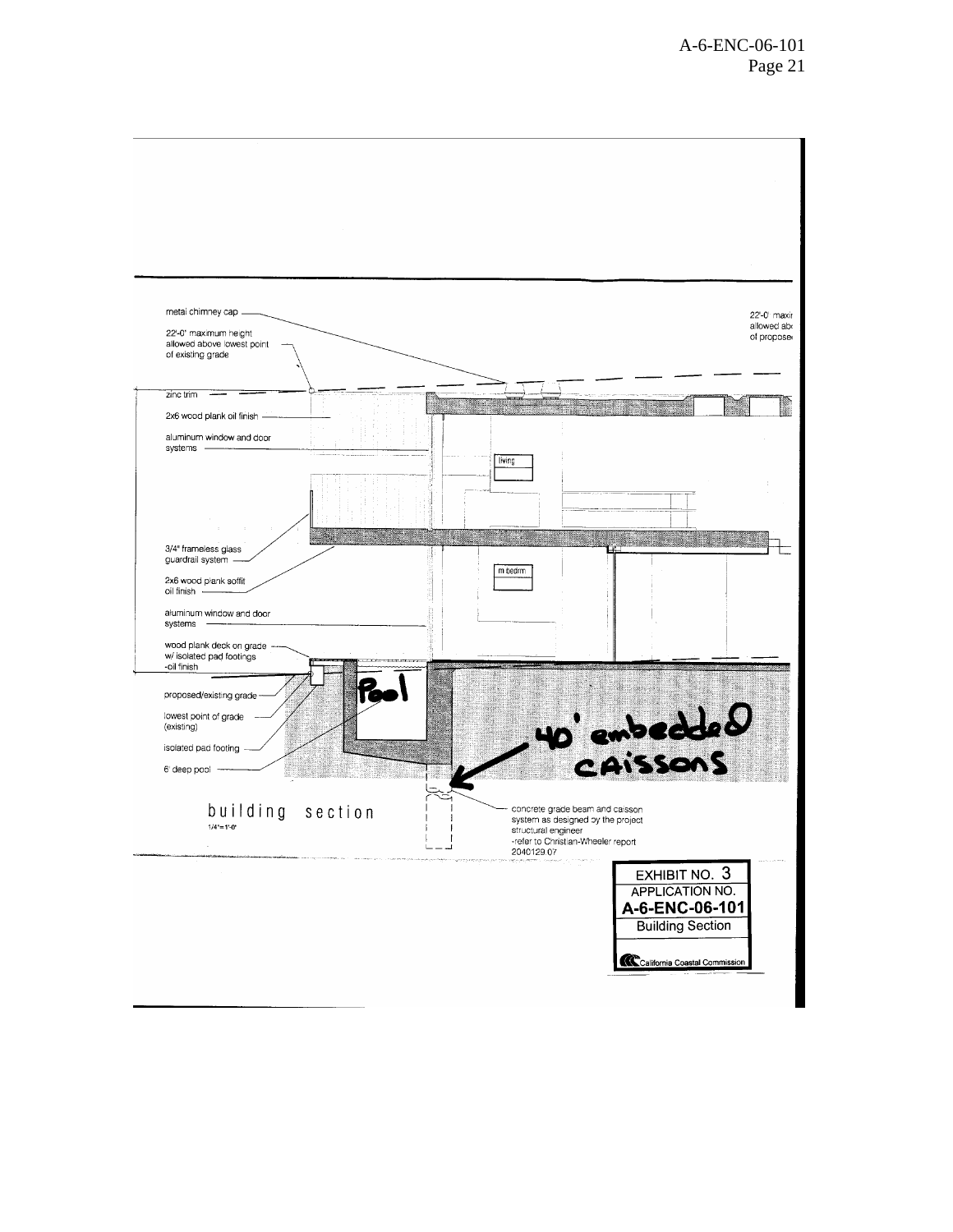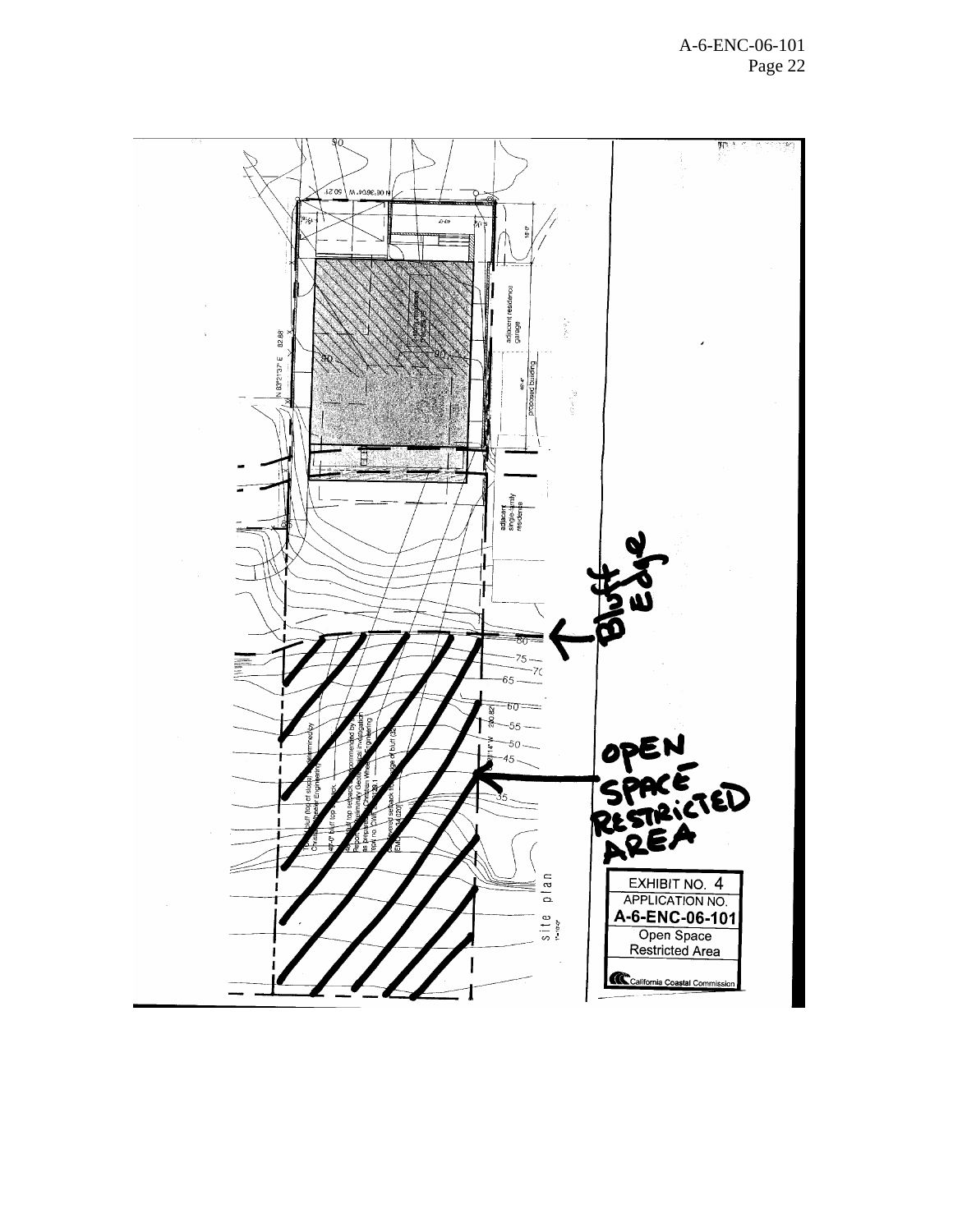